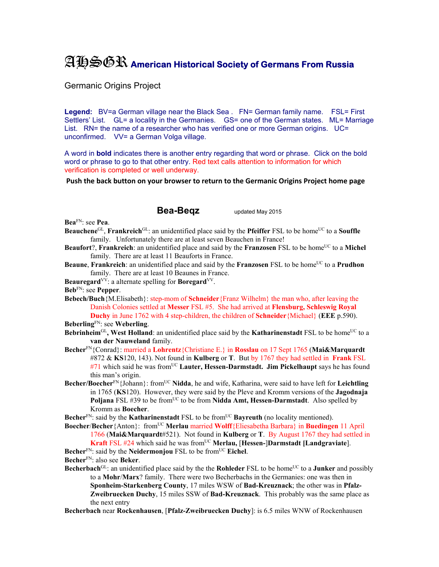## AHSGR **American Historical Society of Germans From Russia**

Germanic Origins Project

**Legend:** BV=a German village near the Black Sea . FN= German family name. FSL= First Settlers' List. GL= a locality in the Germanies. GS= one of the German states. ML= Marriage List. RN= the name of a researcher who has verified one or more German origins. UC= unconfirmed. VV= a German Volga village.

A word in **bold** indicates there is another entry regarding that word or phrase. Click on the bold word or phrase to go to that other entry. Red text calls attention to information for which verification is completed or well underway.

**Push the back button on your browser to return to the Germanic Origins Project home page**

## **Bea-Beqz** updated May 2015

**Bea**FN: see **Pea**.

- **Beauchene**<sup>GL</sup>, **Frankreich**<sup>GL</sup>: an unidentified place said by the **Pfeiffer** FSL to be home<sup>UC</sup> to a **Souffle** family. Unfortunately there are at least seven Beauchen in France!
- **Beaufort**?, **Frankreich**: an unidentified place and said by the **Franzosen** FSL to be home<sup>UC</sup> to a **Michel** family. There are at least 11 Beauforts in France.
- **Beaune**, **Frankreich**: an unidentified place and said by the **Franzosen** FSL to be home<sup>UC</sup> to a **Prudhon** family. There are at least 10 Beaunes in France.

**Beauregard**<sup>VV</sup>: a alternate spelling for **Boregard**<sup>VV</sup>.

**Beb**FN: see **Pepper**.

**Bebech/Buch**{M.Elisabeth}: step-mom of **Schneider**{Franz Wilhelm} the man who, after leaving the Danish Colonies settled at **Messer** FSL #5. She had arrived at **Flensburg, Schleswig Royal Duchy** in June 1762 with 4 step-children, the children of **Schneider**{Michael} (**EEE** p.590).

**Beberling**FN: see **Weberling**.

- **Bebrinheim**<sup>GL</sup>, West Holland: an unidentified place said by the **Katharinenstadt** FSL to be home<sup>UC</sup> to a **van der Nauweland** family.
- **Becher**FN{Conrad}: married a **Lohrentz**{Christiane E.} in **Rosslau** on 17 Sept 1765 (**Mai&Marquardt**  #872 & **KS**120, 143). Not found in **Kulberg** or **T**. But by 1767 they had settled in **Frank** FSL #71 which said he was fromUC **Lauter, Hessen-Darmstadt. Jim Pickelhaupt** says he has found this man's origin.
- **Becher/Boecher**FN{Johann}: fromUC **Nidda**, he and wife, Katharina, were said to have left for **Leichtling** in 1765 (**KS**120). However, they were said by the Pleve and Kromm versions of the **Jagodnaja Poljana** FSL #39 to be from<sup>UC</sup> to be from **Nidda Amt, Hessen-Darmstadt**. Also spelled by Kromm as **Boecher**.

Becher<sup>FN</sup>: said by the **Katharinenstadt** FSL to be from<sup>UC</sup> **Bayreuth** (no locality mentioned).

**Boecher**/**Becher**{Anton}: fromUC **Merlau** married **Wolff**{Eliesabetha Barbara} in **Buedingen** 11 April 1766 (**Mai&Marquardt**#521). Not found in **Kulberg** or **T**. By August 1767 they had settled in **Kraft** FSL #24 which said he was from<sup>UC</sup> Merlau, [Hessen-]Darmstadt [Landgraviate].

**Becher<sup>FN</sup>: said by the <b>Neidermonjou** FSL to be from<sup>UC</sup> **Eichel**.

**Becher**FN: also see **Beker**.

**Becherbach**<sup>GL</sup>: an unidentified place said by the the **Rohleder** FSL to be home<sup>UC</sup> to a **Junker** and possibly to a **Mohr**/**Marx**? family. There were two Becherbachs in the Germanies: one was then in **Sponheim-Starkenberg County**, 17 miles WSW of **Bad-Kreuznack**; the other was in **Pfalz-Zweibruecken Duchy**, 15 miles SSW of **Bad-Kreuznack**. This probably was the same place as the next entry

**Becherbach** near **Rockenhausen**, [**Pfalz-Zweibruecken Duchy**]: is 6.5 miles WNW of Rockenhausen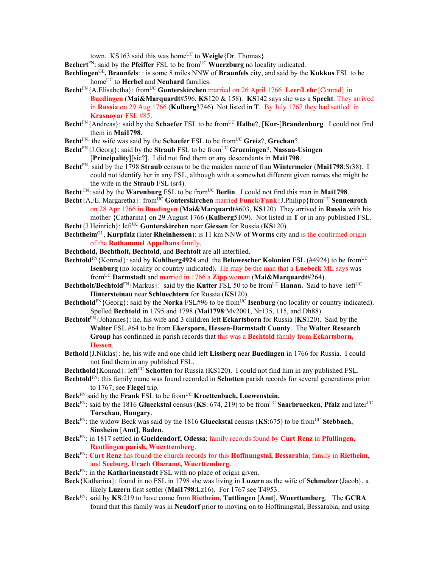town. KS163 said this was home<sup>UC</sup> to **Weigle**{Dr. Thomas}

Bechert<sup>FN</sup>: said by the Pfeiffer FSL to be from<sup>UC</sup> Wuerzburg no locality indicated.

- **Bechlingen**GL**, Braunfels**: : is some 8 miles NNW of **Braunfels** city, and said by the **Kukkus** FSL to be home<sup>UC</sup> to **Herbel** and **Neuhard** families.
- **Becht**<sup>FN</sup>{A.Elisabetha}: from<sup>UC</sup> **Gunterskirchen** married on 26 April 1766 **Leer/Lehr**{Conrad} in **Buedingen** (**Mai&Marquardt**#596, **KS**120 & 158). **KS**142 says she was a **Specht**. They arrived in **Russia** on 29 Aug 1766 (**Kulberg**3746). Not listed in **T**. By July 1767 they had settled in **Krasnoyar** FSL #85.
- **Becht**<sup>FN</sup>{Andreas}: said by the **Schaefer** FSL to be from<sup>UC</sup> **Halbe**?, [**Kur-]Brandenburg**. I could not find them in **Mai1798**.
- Becht<sup>FN</sup>: the wife was said by the **Schaefer** FSL to be from<sup>UC</sup> **Greiz**?, **Grechan**?.
- **Becht**FN{J.Georg}: said by the **Straub** FSL to be fromUC **Grueningen**?, **Nassau-Usingen** [**Principality**][sic?]. I did not find them or any descendants in **Mai1798**.
- **Becht**FN: said by the 1798 **Straub** census to be the maiden name of frau **Wintermeier** (**Mai1798**:Sr38). I could not identify her in any FSL, although with a somewhat different given names she might be the wife in the **Straub** FSL (sr4).
- Becht<sup>FN</sup>: said by the Warenburg FSL to be from<sup>UC</sup> Berlin. I could not find this man in Mai1798.
- **Becht**{A./E. Margaretha}: from<sup>UC</sup> Gonterskirchen married **Funck/Funk**{J.Philipp}from<sup>UC</sup> Sennenroth on 28 Apr 1766 in **Buedingen** (**Mai&Marquardt**#603, **KS**120). They arrived in **Russia** with his mother {Catharina} on 29 August 1766 (**Kulberg**5109). Not listed in **T** or in any published FSL. **Becht**{J.Heinrich}: left<sup>UC</sup> **Gonterskirchen** near **Giessen** for Russia (**KS**120)
- **Bechtheim**GL, **Kurpfalz** (later **Rheinhessen**): is 11 km NNW of **Worms** city and is the confirmed origin of the **Rothammel Appelhans** family.
- **Bechthold, Bechtholt, Bechtold**, and **Bechtolt** are all interfiled.
- **Bechtold**<sup>FN</sup>{Konrad}: said by **Kuhlberg4924** and the **Belowescher Kolonien** FSL (#4924) to be from<sup>UC</sup> **Isenburg** (no locality or country indicated). He may be the man that a **Luebeck** ML says was fromUC **Darmstadt** and married in 1766 a **Zipp** woman (**Mai&Marquardt**#264).
- **Bechtholt/Bechtold**<sup>FN</sup>{Markus}: said by the **Kutter** FSL 50 to be from<sup>UC</sup> **Hanau.** Said to have left<sup>UC</sup> **Hintersteinau** near **Schluechtern** for Russia (**KS**120).
- **Bechthold**<sup>FN</sup>{Georg}: said by the **Norka** FSL#96 to be from<sup>UC</sup> **Isenburg** (no locality or country indicated). Spelled **Bechtold** in 1795 and 1798 (**Mai1798**:Mv2001, Nr135, 115, and Dh88).
- **Bechtolt**FN{Johannes}: he, his wife and 3 children left **Eckartsborn** for Russia )**KS**120). Said by the **Walter** FSL #64 to be from **Ekersporn, Hessen-Darmstadt County**. The **Walter Research Group** has confirmed in parish records that this was a **Bechtold** family from **Eckartsborn, Hessen**.
- **Bethold**{J.Niklas}: he, his wife and one child left **Lissberg** near **Buedingen** in 1766 for Russia. I could not find them in any published FSL.
- **Bechthold**{Konrad}: left<sup>UC</sup> **Schotten** for Russia (KS120). I could not find him in any published FSL.
- **Bechtold**FN: this family name was found recorded in **Schotten** parish records for several generations prior to 1767; see **Flegel** trip.
- Beck<sup>FN</sup> said by the **Frank** FSL to be from<sup>UC</sup> **Kroettenbach, Loewenstein.**
- **Beck**<sup>FN</sup>: said by the 1816 **Glueckstal** census (**KS**: 674, 219) to be from<sup>UC</sup> Saarbruecken, **Pfalz** and later<sup>UC</sup> **Torschau**, **Hungary**.
- **Beck**<sup>FN</sup>: the widow Beck was said by the 1816 **Glueckstal** census (**KS**:675) to be from<sup>UC</sup> Stebbach, **Sinsheim** [**Amt**], **Baden**.
- **Beck**FN: in 1817 settled in **Gueldendorf, Odessa**; family records found by **Curt Renz** in **Pfullingen, Reutlingen parish, Wuerttemberg**.
- **Beck**FN: **Curt Renz** has found the church records for this **Hoffnungstal, Bessarabia**, family in **Rietheim,**  and **Seeburg, Urach Oberamt, Wuerttemberg**.
- **Beck**FN: in the **Katharinenstadt** FSL with no place of origin given.
- **Beck**{Katharina}: found in no FSL in 1798 she was living in **Luzern** as the wife of **Schmelzer**{Jacob}, a likely **Luzern** first settler (**Mai1798**:Lz16). For 1767 see **T**4953.
- **Beck**FN: said by **KS**:219 to have come from **Rietheim**, **Tuttlingen** [**Amt**], **Wuerttemberg**. The **GCRA** found that this family was in **Neudorf** prior to moving on to Hoffnungstal, Bessarabia, and using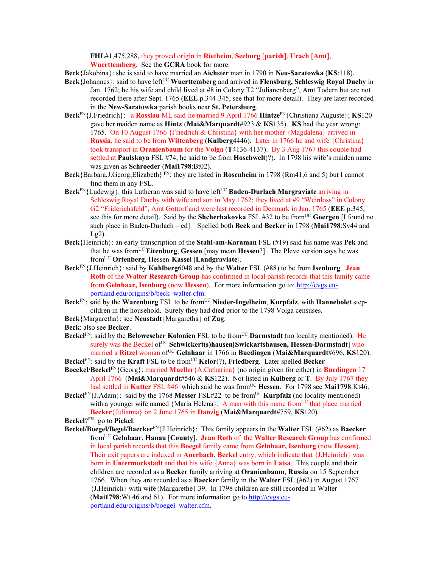**FHL**#1,475,288, they proved origin in **Rietheim**, **Seeburg** [**parish**], **Urach** [**Amt**], **Wuerttemberg**. See the **GCRA** book for more.

**Beck**{Jakobina}: she is said to have married an **Aichster** man in 1790 in **Neu-Saratowka** (**KS**:118).

- **Beck**{Johannes}: said to have left<sup>UC</sup> Wuerttemberg and arrived in **Flensburg, Schleswig Royal Duchy** in Jan. 1762; he his wife and child lived at #8 in Colony T2 "Julianenberg", Amt Todern but are not recorded there after Sept. 1765 (**EEE** p.344-345, see that for more detail). They are later recorded in the **New-Saratowka** parish books near **St. Petersburg**.
- **Beck**FN{J.Friedrich}: a **Rosslau** ML said he married 9 April 1766 **Hintze**FN{Christiana Auguste}; **KS**120 gave her maiden name as **Hintz** (**Mai&Marquardt**#923 & **KS**135). **KS** had the year wrong: 1765. On 10 August 1766 {Friedrich & Christina} with her mother {Magdalena} arrived in **Russia**, he said to be from **Wittenberg** (**Kulberg**4446). Later in 1766 he and wife {Christina} took transport in **Oranienbaum** for the **Volga** (**T**4136-4137). By 3 Aug 1767 this couple had settled at **Paulskaya** FSL #74, he said to be from **Hoschwelt**(?). In 1798 his wife's maiden name was given as **Schroeder** (**Mai1798**:Bt02).
- **Beck**{Barbara,J.Georg,Elizabeth} FN: they are listed in **Rosenheim** in 1798 (Rm41,6 and 5) but I cannot find them in any FSL.
- **Beck**<sup>FN</sup>{Ludewig}: this Lutheran was said to have left<sup>UC</sup> **Baden-Durlach Margraviate** arriving in Schleswig Royal Duchy with wife and son in May 1762; they lived at #9 "Weinloss" in Colony G2 "Friderichsfeld", Amt Gottorf and were last recorded in Denmark in Jan. 1765 (**EEE** p.345, see this for more detail). Said by the **Shcherbakovka** FSL #32 to be from<sup>UC</sup> Goergen [I found no such place in Baden-Durlach – ed] Spelled both **Beck** and **Becker** in 1798 (**Mai1798**:Sv44 and Lg2).
- **Beck**{Heinrich}: an early transcription of the **Stahl-am-Karaman** FSL (#19) said his name was **Pek** and that he was fromUC **Eitenburg**, **Gessen** [may mean **Hessen**?]. The Pleve version says he was fromUC **Ortenberg**, Hessen-**Kassel** [**Landgraviate**].
- **Beck**FN{J.Heinrich}: said by **Kuhlberg**6048 and by the **Walter** FSL (#88) to be from **Isenburg**. **Jean Roth** of the **Walter Research Group** has confirmed in local parish records that this family came from **Gelnhaar, Isenburg** (now **Hessen**). For more information go to: http://cvgs.cuportland.edu/origins/b/beck\_walter.cfm.
- Beck<sup>FN</sup>: said by the Warenburg FSL to be from<sup>UC</sup> Nieder-Ingelheim, Kurpfalz, with Hannebolet stepcildren in the household. Surely they had died prior to the 1798 Volga censuses.
- **Beck**{Margaretha}: see **Neustadt**{Margaretha} of **Zug**.
- **Beck**: also see **Becker**.
- **Beckel**<sup>FN</sup>: said by the **Belowescher Kolonien** FSL to be from<sup>UC</sup> **Darmstadt** (no locality mentioned). He surely was the Beckel of<sup>UC</sup> Schwickert(s)hausen[Swickartshausen, Hessen-Darmstadt] who married a Ritzel woman of<sup>UC</sup> Gelnhaar in 1766 in Buedingen (Mai&Marquardt#696, KS120).
- **Beckel**<sup>FN</sup>: said by the **Kraft** FSL to be from<sup>UC</sup> **Kelor**(?), **Friedberg**. Later spelled **Becker Boeckel/Beckel**FN{Georg}: married **Mueller**{A.Catharina} (no origin given for either) in **Buedingen** 17 April 1766(**Mai&Marquardt**#546 & **KS**122). Not listed in **Kulberg** or **T**. By July 1767 they
- had settled in **Kutter** FSL #46 which said he was from<sup>UC</sup> Hessen. For 1798 see Mai1798:Kt46. **Beckel**FN{J.Adam}: said by the 1768 Messer FSL#22 to be from<sup>UC</sup> **Kurpfalz** (no locality mentioned) with a younger wife named {Maria Helena}. A man with this name from<sup>UC</sup> that place married **Becker**{Julianna} on 2 June 1765 in **Danzig** (**Mai&Marquardt**#759, **KS**120).

**Beckel**?FN: go to **Pickel**.

**Beckel/Boegel/Begel/Baecker**FN{J.Heinrich}: This family appears in the **Walter** FSL (#62) as **Baecker** fromUC **Gelnhaar**, **Hanau** [**County**]. **Jean Roth** of the **Walter Research Group** has confirmed in local parish records that this **Boegel** family came from **Gelnhaar, Isenburg** (now **Hessen**). Their exit papers are indexed in **Auerbach**, **Beckel** entry, which indicate that {J.Heinrich} was born in **Untermockstadt** and that his wife {Anna} was born in **Laisa**. This couple and their children are recorded as a **Becker** family arriving at **Oranienbaum**, **Russia** on 15 September 1766. When they are recorded as a **Baecker** family in the **Walter** FSL (#62) in August 1767 {J.Heinrich} with wife{Margarethe} 39. In 1798 children are still recorded in Walter (**Mai1798**:Wt 46 and 61). For more information go to http://cvgs.cuportland.edu/origins/b/boegel\_walter.cfm.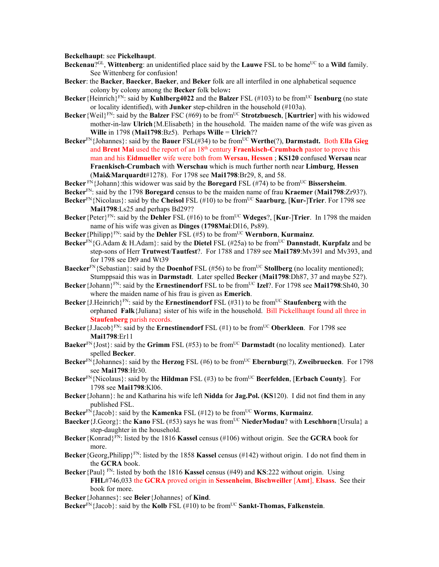**Beckelhaupt**: see **Pickelhaupt**.

- **Beckenau**?<sup>GL</sup>, **Wittenberg**: an unidentified place said by the **Lauwe** FSL to be home<sup>UC</sup> to a **Wild** family. See Wittenberg for confusion!
- **Becker**: the **Backer**, **Baecker**, **Baeker**, and **Beker** folk are all interfiled in one alphabetical sequence colony by colony among the **Becker** folk below**:**
- **Becker**{Heinrich}<sup>FN</sup>: said by **Kuhlberg4022** and the **Balzer** FSL (#103) to be from<sup>UC</sup> **Isenburg** (no state or locality identified), with **Junker** step-children in the household (#103a).
- **Becker**{Weil}<sup>FN</sup>: said by the **Balzer** FSC (#69) to be from<sup>UC</sup> **Strotzbuesch**, [**Kurtrier**] with his widowed mother-in-law **Ulrich**{M.Elisabeth} in the household. The maiden name of the wife was given as **Wille** in 1798 (**Mai1798**:Bz5). Perhaps **Wille** = **Ulrich**??
- **Becker**FN{Johannes}: said by the **Bauer** FSL(#34) to be fromUC **Werthe**(?), **Darmstadt.** Both **Ella Gieg** and **Brent Mai** used the report of an 18<sup>th</sup> century **Fraenkisch-Crumbach** pastor to prove this man and his **Eidmueller** wife were both from **Wersau, Hessen** ; **KS120** confused **Wersau** near **Fraenkisch-Crumbach** with **Werschau** which is much further north near **Limburg**, **Hessen** (**Mai&Marquardt**#1278). For 1798 see **Mai1798**:Br29, 8, and 58.

**Becker**  $F_N$  {Johann}: this widower was said by the **Boregard** FSL (#74) to be from<sup>UC</sup> **Bissersheim**.

- **Becker**FN: said by the 1798 **Boregard** census to be the maiden name of frau **Kraemer** (**Mai1798**:Zr93?).
- **Becker**<sup>FN</sup>{Nicolaus}: said by the **Cheisol** FSL (#10) to be from<sup>UC</sup> **Saarburg**, [**Kur-**]Trier. For 1798 see **Mai1798**:Ls25 and perhaps Bd29??
- **Becker**{Peter}FN: said by the **Dehler** FSL (#16) to be fromUC **Wdeges**?, [**Kur**-]**Trier**. In 1798 the maiden name of his wife was given as **Dinges** (**1798Mai**:Dl16, Ps89).
- **Becker**{Philipp}<sup>FN</sup>: said by the **Dehler** FSL (#5) to be from<sup>UC</sup> **Wernborn**, **Kurmainz**.
- **Becker**<sup>FN</sup>{G.Adam & H.Adam}: said by the **Dietel** FSL (#25a) to be from<sup>UC</sup> **Dannstadt**, **Kurpfalz** and be step-sons of Herr **Trutwest**/**Tautfest**?. For 1788 and 1789 see **Mai1789**:Mv391 and Mv393, and for 1798 see Dt9 and Wt39
- **Baecker**<sup>FN</sup>{Sebastian}: said by the **Doenhof** FSL (#56) to be from<sup>UC</sup> **Stollberg** (no locality mentioned); Stumppsaid this was in **Darmstadt**. Later spelled **Becker** (**Mai1798**:Dh87, 37 and maybe 52?).
- **Becker**{Johann}FN: said by the **Ernestinendorf** FSL to be fromUC **Izel**?. For 1798 see **Mai1798**:Sh40, 30 where the maiden name of his frau is given as **Emerich**.
- **Becker** {J.Heinrich}<sup>FN</sup>: said by the **Ernestinendorf** FSL (#31) to be from<sup>UC</sup> **Staufenberg** with the orphaned **Falk**{Juliana} sister of his wife in the household. Bill Pickellhaupt found all three in **Staufenberg** parish records.
- **Becker**{J.Jacob}<sup>FN</sup>: said by the **Ernestinendorf** FSL (#1) to be from<sup>UC</sup> Oberkleen. For 1798 see **Mai1798**:Er11
- **Baeker**<sup>FN</sup>{Jost}: said by the **Grimm** FSL (#53) to be from<sup>UC</sup> **Darmstadt** (no locality mentioned). Later spelled **Becker**.
- **Becker**<sup>FN</sup>{Johannes}: said by the **Herzog** FSL (#6) to be from<sup>UC</sup> **Ebernburg**(?), **Zweibruecken**. For 1798 see **Mai1798**:Hr30.
- **Becker**<sup>FN</sup>{Nicolaus}: said by the **Hildman** FSL (#3) to be from<sup>UC</sup> **Beerfelden**, [**Erbach County**]. For 1798 see **Mai1798**:Kl06.
- **Becker**{Johann}: he and Katharina his wife left **Nidda** for **Jag.Pol.** (**KS**120). I did not find them in any published FSL.
- **Becker**<sup>FN</sup>{Jacob}: said by the **Kamenka** FSL (#12) to be from<sup>UC</sup> **Worms**, **Kurmainz**.
- **Baecker**{J.Georg}: the **Kano** FSL (#53) says he was from<sup>UC</sup> NiederModau? with Leschhorn{Ursula} a step-daughter in the household.
- **Becker**{Konrad}FN: listed by the 1816 **Kassel** census (#106) without origin. See the **GCRA** book for more.
- **Becker**{Georg,Philipp}<sup>FN</sup>: listed by the 1858 **Kassel** census (#142) without origin. I do not find them in the **GCRA** book.
- **Becker**{Paul} FN: listed by both the 1816 **Kassel** census (#49) and **KS**:222 without origin. Using **FHL**#746,033 the **GCRA** proved origin in **Sessenheim**, **Bischweiller** [**Amt**], **Elsass**. See their book for more.
- **Becker**{Johannes}: see **Beier**{Johannes} of **Kind**.
- **Becker**<sup>FN</sup>{Jacob}: said by the **Kolb** FSL (#10) to be from<sup>UC</sup> **Sankt-Thomas, Falkenstein**.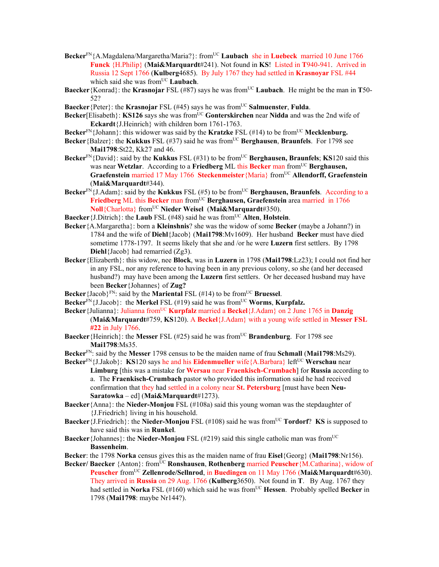- **Becker**<sup>FN</sup>{A.Magdalena/Margaretha/Maria?}: from<sup>UC</sup> **Laubach** she in **Luebeck** married 10 June 1766 **Funck** {H.Philip} (**Mai&Marquardt**#241). Not found in **KS**! Listed in **T**940-941. Arrived in Russia 12 Sept 1766 (**Kulberg**4685). By July 1767 they had settled in **Krasnoyar** FSL #44 which said she was from<sup>UC</sup> Laubach.
- **Baecker**{Konrad}: the **Krasnojar** FSL (#87) says he was fromUC **Laubach**. He might be the man in **T**50- 52?
- **Baecker**{Peter}: the **Krasnojar** FSL (#45) says he was from<sup>UC</sup> **Salmuenster**, **Fulda**.
- **Becker**[Elisabeth}: **KS126** says she was from<sup>UC</sup> Gonterskirchen near Nidda and was the 2nd wife of **Eckardt**{J.Heinrich} with children born 1761-1763.
- **Becker**FN{Johann}: this widower was said by the **Kratzke** FSL (#14) to be fromUC **Mecklenburg.**
- **Becker**{Balzer}: the **Kukkus** FSL (#37) said he was from<sup>UC</sup> **Berghausen**, **Braunfels**. For 1798 see **Mai1798**:St22, Kk27 and 46.
- **Becker**<sup>FN</sup>{David}: said by the **Kukkus** FSL (#31) to be from<sup>UC</sup> **Berghausen, Braunfels**; **KS**120 said this was near **Wetzlar**. According to a **Friedberg** ML this **Becker** man from<sup>UC</sup> **Berghausen**, **Graefenstein** married 17 May 1766 **Steckenmeister**{Maria} fromUC **Allendorff, Graefenstein** (**Mai&Marquardt**#344).
- **Becker**<sup>FN</sup>{J.Adam}: said by the **Kukkus** FSL (#5) to be from<sup>UC</sup> **Berghausen, Braunfels**. According to a **Friedberg** ML this Becker man from<sup>UC</sup> Berghausen, Graefenstein area married in 1766 **Noll**{Charlotta} fromUC **Nieder Weisel** (**Mai&Marquardt**#350).
- **Baecker** {**J**.Ditrich}: the **Laub** FSL ( $#48$ ) said he was from<sup>UC</sup> **Alten**, **Holstein**.
- **Becker**{A.Margaretha}: born a **Kleinshnis**? she was the widow of some **Becker** (maybe a Johann?) in 1784 and the wife of **Diehl**{Jacob} (**Mai1798**:Mv1609). Her husband **Becker** must have died sometime 1778-1797. It seems likely that she and /or he were **Luzern** first settlers. By 1798 **Diehl**{Jacob} had remarried (Zg3).
- **Becker**{Elizaberth}: this widow, nee **Block**, was in **Luzern** in 1798 (**Mai1798**:Lz23); I could not find her in any FSL, nor any reference to having been in any previous colony, so she (and her deceased husband?) may have been among the **Luzern** first settlers. Or her deceased husband may have been **Becker**{Johannes} of **Zug?**
- **Becker** {Jacob}<sup>FN</sup>: said by the **Mariental** FSL (#14) to be from<sup>UC</sup> **Bruessel**.
- **Becker**<sup>FN</sup>{J.Jacob}: the **Merkel** FSL (#19) said he was from<sup>UC</sup> **Worms**, **Kurpfalz.**
- **Becker**{Julianna}: Julianna fromUC **Kurpfalz** married a **Beckel**{J.Adam} on 2 June 1765 in **Danzig** (**Mai&Marquardt**#759, **KS**120). A **Beckel**{J.Adam} with a young wife settled in **Messer FSL #22** in July 1766.
- **Baecker**{Heinrich}: the Messer FSL (#25) said he was from<sup>UC</sup> **Brandenburg**. For 1798 see **Mai1798**:Ms35.
- **Becker**FN: said by the **Messer** 1798 census to be the maiden name of frau **Schmall** (**Mai1798**:Ms29).
- **Becker**<sup>FN</sup>{J.Jakob}: **KS**120 says he and his **Eidenmueller** wife{A.Barbara} left<sup>UC</sup> Werschau near **Limburg** [this was a mistake for **Wersau** near **Fraenkisch-Crumbach**] for **Russia** according to a. The **Fraenkisch-Crumbach** pastor who provided this information said he had received confirmation that they had settled in a colony near **St. Petersburg** [must have been **Neu-Saratowka** – ed] (**Mai&Marquardt**#1273).
- **Baecker**{Anna}: the **Nieder-Monjou** FSL (#108a) said this young woman was the stepdaughter of {J.Friedrich} living in his household.
- **Baecker** {J.Friedrich}: the **Nieder-Monjou** FSL (#108) said he was from<sup>UC</sup> **Tordorf**? **KS** is supposed to have said this was in **Runkel**.
- **Baecker**{Johannes}: the **Nieder-Monjou** FSL (#219) said this single catholic man was fromUC **Bassenheim**.
- **Becker**: the 1798 **Norka** census gives this as the maiden name of frau **Eisel**{Georg} (**Mai1798**:Nr156).
- **Becker/ Baecker** {Anton}: fromUC **Ronshausen**, **Rothenberg** married **Peuscher**{M.Catharina}, widow of **Peuscher** fromUC **Zellenrode/Sellnrod**, in **Buedingen** on 11 May 1766 (**Mai&Marquardt**#630). They arrived in **Russia** on 29 Aug. 1766 (**Kulberg**3650). Not found in **T**. By Aug. 1767 they had settled in **Norka** FSL (#160) which said he was from<sup>UC</sup> **Hessen**. Probably spelled **Becker** in 1798 (**Mai1798**: maybe Nr144?).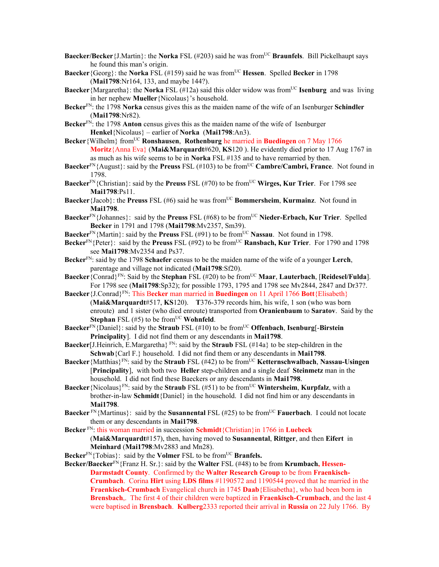- **Baecker/Becker** {J.Martin}: the **Norka** FSL (#203) said he was from<sup>UC</sup> **Braunfels**. Bill Pickelhaupt says he found this man's origin.
- **Baecker**{Georg}: the **Norka** FSL (#159) said he was fromUC **Hessen**. Spelled **Becker** in 1798 (**Mai1798**:Nr164, 133, and maybe 144?).
- **Baecker**{Margaretha}: the **Norka** FSL (#12a) said this older widow was from<sup>UC</sup> **Isenburg** and was living in her nephew **Mueller**{Nicolaus}'s household.
- **Becker**FN: the 1798 **Norka** census gives this as the maiden name of the wife of an Isenburger **Schindler** (**Mai1798**:Nr82).
- **Becker**FN: the 1798 **Anton** census gives this as the maiden name of the wife of Isenburger **Henkel**{Nicolaus} – earlier of **Norka** (**Mai1798**:An3).
- **Becker**{Wilhelm} fromUC **Ronshausen**, **Rothenburg** he married in **Buedingen** on 7 May 1766 **Moritz**{Anna Eva} (**Mai&Marquardt**#620, **KS**120 ). He evidently died prior to 17 Aug 1767 in as much as his wife seems to be in **Norka** FSL #135 and to have remarried by then.
- **Baecker**<sup>FN</sup>{August}: said by the **Preuss** FSL (#103) to be from<sup>UC</sup> Cambre/Cambri, France. Not found in 1798.
- **Baecker**<sup>FN</sup>{Christian}: said by the **Preuss** FSL (#70) to be from<sup>UC</sup> **Wirges, Kur Trier**. For 1798 see **Mai1798**:Ps11.
- **Baecker**{Jacob}: the **Preuss** FSL (#6) said he was from<sup>UC</sup> **Bommersheim**, **Kurmainz**. Not found in **Mai1798**.
- **Baecker**FN{Johannes}: said by the **Preuss** FSL (#68) to be fromUC **Nieder-Erbach, Kur Trier**. Spelled **Becker** in 1791 and 1798 (**Mai1798**:Mv2357, Sm39).
- **Baecker**<sup>FN</sup>{Martin}: said by the **Preuss** FSL (#91) to be from<sup>UC</sup> **Nassau**. Not found in 1798.
- **Becker**<sup>FN</sup>{Peter}: said by the **Preuss** FSL (#92) to be from<sup>UC</sup> **Ransbach, Kur Trier**. For 1790 and 1798 see **Mai1798**:Mv2354 and Ps37.
- **Becker**FN: said by the 1798 **Schaefer** census to be the maiden name of the wife of a younger **Lerch**, parentage and village not indicated (**Mai1798**:Sf20).
- **Baecker**{Conrad}FN: Said by the **Stephan** FSL (#20) to be fromUC **Maar**, **Lauterbach**, [**Reidesel/Fulda**]. For 1798 see (**Mai1798**:Sp32); for possible 1793, 1795 and 1798 see Mv2844, 2847 and Dr37?.
- **Baecker**{J.Conrad}FN: This B**ecker** man married in **Buedingen** on 11 April 1766 **Bott**{Elisabeth} (**Mai&Marquardt**#517, **KS**120). **T**376-379 records him, his wife, 1 son (who was born enroute) and 1 sister (who died enroute) transported from **Oranienbaum** to **Saratov**. Said by the **Stephan** FSL  $(\#5)$  to be from<sup>UC</sup> **Wohnfeld**.
- **Baecker**<sup>FN</sup>{Daniel}: said by the **Straub** FSL (#10) to be from<sup>UC</sup> **Offenbach**, **Isenburg**[-**Birstein Principality**]. I did not find them or any descendants in **Mai1798**.
- **Baecker**[J.Heinrich, E.Margaretha}  $F_N$ : said by the **Straub** FSL (#14a} to be step-children in the **Schwab**{Carl F.} household. I did not find them or any descendants in **Mai1798**.
- **Baecker**{Matthias}<sup>FN</sup>: said by the **Straub** FSL (#42) to be from<sup>UC</sup> **Ketternschwalbach**, **Nassau-Usingen** [**Principality**], with both two **Heller** step-children and a single deaf **Steinmetz** man in the household. I did not find these Baeckers or any descendants in **Mai1798**.
- **Baecker**{Nicolaus}FN: said by the **Straub** FSL (#51) to be fromUC **Wintersheim**, **Kurpfalz**, with a brother-in-law **Schmidt**{Daniel} in the household. I did not find him or any descendants in **Mai1798**.
- **Baecker** FN{Martinus}: said by the **Susannental** FSL (#25) to be from<sup>UC</sup> **Fauerbach**. I could not locate them or any descendants in **Mai1798**.
- **Becker** FN: this woman married in succession **Schmidt**{Christian}in 1766 in **Luebeck** (**Mai&Marquardt**#157), then, having moved to **Susannental**, **Rittger**, and then **Eifert** in **Meinhard** (**Mai1798**:Mv2883 and Mn28).
- **Becker**<sup>FN</sup>{Tobias}: said by the **Volmer** FSL to be from<sup>UC</sup> **Branfels.**
- **Becker/Baecker**FN{Franz H. Sr.}: said by the **Walter** FSL (#48) to be from **Krumbach, Hessen-Darmstadt County**. Confirmed by the **Walter Research Group** to be from **Fraenkisch-Crumbach**. Corina **Hirt** using **LDS films** #1190572 and 1190544 proved that he married in the **Fraenkisch-Crumbach** Evangelical church in 1745 **Daab**{Elisabetha}, who had been born in **Brensbach**,. The first 4 of their children were baptized in **Fraenkisch-Crumbach**, and the last 4 were baptised in **Brensbach**. **Kulberg**2333 reported their arrival in **Russia** on 22 July 1766. By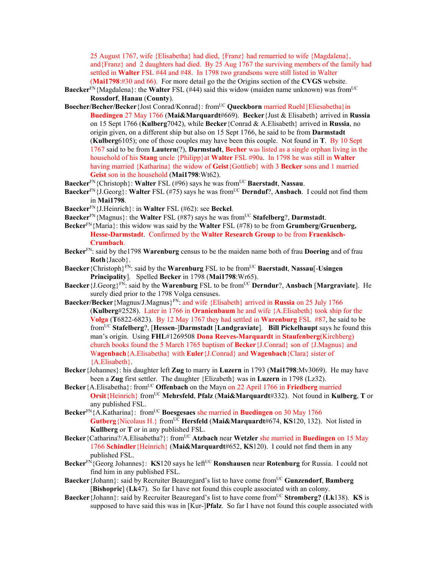25 August 1767, wife {Elisabetha} had died, {Franz} had remarried to wife {Magdalena}, and{Franz} and 2 daughters had died. By 25 Aug 1767 the surviving members of the family had settled in **Walter** FSL #44 and #48. In 1798 two grandsons were still listed in Walter (**Mai1798**:#30 and 66). For more detail go the the Origins section of the **CVGS** website.

**Baecker**<sup>FN</sup>{Magdalena}: the **Walter** FSL (#44) said this widow (maiden name unknown) was from<sup>UC</sup> **Rossdorf**, **Hanau** (**County**).

- **Boecher/Becher/Becker**{Jost Conrad/Konrad}: fromUC **Queckborn** married Ruehl{Eliesabetha}in **Buedingen** 27 May 1766 (**Mai&Marquardt**#669). **Becker**{Just & Elisabeth} arrived in **Russia** on 15 Sept 1766 (**Kulberg**7042), while **Becker**{Conrad & A.Elisabeth} arrived in **Russia**, no origin given, on a different ship but also on 15 Sept 1766, he said to be from **Darmstadt** (**Kulberg**6105); one of those couples may have been this couple. Not found in **T**. By 10 Sept 1767 said to be from **Lautern**(?), **Darmstadt**, **Becher** was listed as a single orphan living in the household of his **Stang** uncle {Philipp}at **Walter** FSL #90a. In 1798 he was still in **Walter**  having married {Katharina} the widow of **Geist**{Gottlieb} with 3 **Becker** sons and 1 married **Geist** son in the household (**Mai1798**:Wt62).
- **Baecker**FN{Christoph}: **Walter** FSL (#96) says he was fromUC **Baerstadt**, **Nassau**.
- **Baecker**FN{J.Georg}: **Walter** FSL (#75) says he was fromUC **Dernduf**?, **Ansbach**. I could not find them in **Mai1798**.
- **Baecker**FN{J.Heinrich}: in **Walter** FSL (#62): see **Beckel**.
- **Baecker**<sup>FN</sup>{Magnus}: the **Walter** FSL (#87) says he was from<sup>UC</sup> Stafelberg?, Darmstadt.
- **Becker**FN{Maria}: this widow was said by the **Walter** FSL (#78) to be from **Grumberg/Gruenberg, Hesse-Darmstadt**. Confirmed by the **Walter Research Group** to be from **Fraenkisch-Crumbach**.
- **Becker**FN: said by the1798 **Warenburg** census to be the maiden name both of frau **Doering** and of frau **Roth**{Jacob}.
- **Baecker**{Christoph}<sup>FN</sup>: said by the **Warenburg** FSL to be from<sup>UC</sup> **Baerstadt**, **Nassau**[-Usingen] **Principality**]. Spelled **Becker** in 1798 (**Mai1798**:Wr65).
- **Baecker**{J.Georg}FN: said by the **Warenburg** FSL to be fromUC **Derndur**?, **Ansbach** [**Margraviate**]. He surely died prior to the 1798 Volga censuses.
- Baecker/Becker {Magnus/J.Magnus}<sup>FN</sup>: and wife {Elisabeth} arrived in **Russia** on 25 July 1766 (**Kulberg**#2528). Later in 1766 in **Oranienbaum** he and wife {A.Elisabeth} took ship for the **Volga** (**T**6822-6823). By 12 May 1767 they had settled in **Warenburg** FSL #87, he said to be fromUC **Stafelberg**?, [**Hessen**-]**Darmstadt** [**Landgraviate**]. **Bill Pickelhaupt** says he found this man's origin. Using **FHL**#1269508 **Dona Reeves-Marquardt** in **Staufenberg**(Kirchberg) church books found the 5 March 1765 baptism of **Becker**{J.Conrad} son of {J.Magnus} and W**agenbach**{A.Elisabetha} with **Euler**{J.Conrad} and **Wagenbach**{Clara} sister of {A.Elisabeth}.
- **Becker**{Johannes}: his daughter left **Zug** to marry in **Luzern** in 1793 (**Mai1798**:Mv3069). He may have been a **Zug** first settler. The daughter {Elizabeth} was in **Luzern** in 1798 (Lz32).
- **Becker** {A.Elisabetha}: from<sup>UC</sup> **Offenbach** on the Mayn on 22 April 1766 in **Friedberg** married **Orsit**{Heinrich} from<sup>UC</sup> **Mehrsfeld, Pfalz** (Mai&Marquardt#332). Not found in **Kulberg**, **T** or any published FSL.
- **Becker**<sup>FN</sup>{A.Katharina}: from<sup>UC</sup> **Boesgesaes** she married in **Buedingen** on 30 May 1766 **Gutberg**{Nicolaus H.} fromUC **Hersfeld** (**Mai&Marquardt**#674, **KS**120, 132). Not listed in **Kullberg** or **T** or in any published FSL.
- **Becker** {Catharina?/A.Elisabetha?}: from<sup>UC</sup> Atzbach near Wetzler she married in **Buedingen** on 15 May 1766 **Schindler**{Heinrich} (**Mai&Marquardt**#652, **KS**120). I could not find them in any published FSL.
- **Becker**<sup>FN</sup>{Georg Johannes}: **KS**120 says he left<sup>UC</sup> **Ronshausen** near **Rotenburg** for Russia. I could not find him in any published FSL.
- **Baecker** {Johann}: said by Recruiter Beauregard's list to have come from<sup>UC</sup> Gunzendorf, Bamberg [**Bishopric**] (**Lk**47). So far I have not found this couple associated with an colony.
- **Baecker** {Johann}: said by Recruiter Beauregard's list to have come from<sup>UC</sup> **Stromberg?** (Lk138). **KS** is supposed to have said this was in [Kur-]**Pfalz**. So far I have not found this couple associated with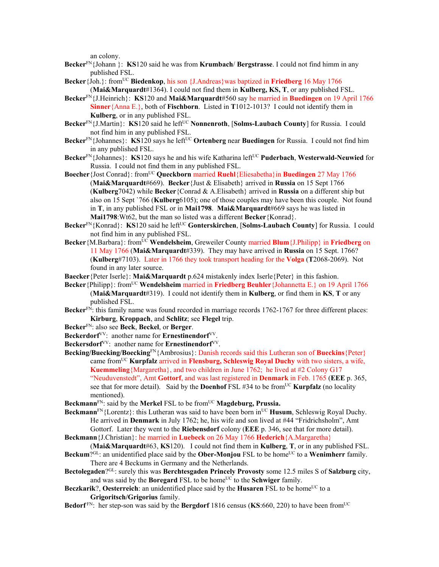an colony.

- **Becker**FN{Johann }: **KS**120 said he was from **Krumbach**/ **Bergstrasse**. I could not find himm in any published FSL.
- **Becker**{Joh.}: fromUC **Biedenkop**, his son {J.Andreas}was baptized in **Friedberg** 16 May 1766 (**Mai&Marquardt**#1364). I could not find them in **Kulberg, KS, T**, or any published FSL.
- **Becker**FN{J.Heinrich}: **KS**120 and **Mai&Marquardt**#560 say he married in **Buedingen** on 19 April 1766 **Sinner**{Anna E.}, both of **Fischborn**. Listed in **T**1012-1013? I could not identify them in **Kulberg**, or in any published FSL.
- **Becker**<sup>FN</sup>{J.Martin}: **KS**120 said he left<sup>UC</sup> **Nonnenroth**, [**Solms-Laubach County**] for Russia. I could not find him in any published FSL.
- **Becker**<sup>FN</sup>{Johannes}: **KS**120 says he left<sup>UC</sup> **Ortenberg** near **Buedingen** for Russia. I could not find him in any published FSL.
- **Becker**FN{Johannes}: **KS**120 says he and his wife Katharina leftUC **Puderbach**, **Westerwald-Neuwied** for Russia. I could not find them in any published FSL.
- **Boecher**{Jost Conrad}: fromUC **Queckborn** married **Ruehl**{Eliesabetha}in **Buedingen** 27 May 1766 (**Mai&Marquardt**#669). **Becker**{Just & Elisabeth} arrived in **Russia** on 15 Sept 1766 (**Kulberg**7042) while **Becker**{Conrad & A.Elisabeth} arrived in **Russia** on a different ship but also on 15 Sept `766 (**Kulberg**6105); one of those couples may have been this couple. Not found in **T**, in any published FSL or in **Mai1798**. **Mai&Marquardt**#669 says he was listed in **Mai1798**:Wt62, but the man so listed was a different **Becker**{Konrad}.
- **Becker**<sup>FN</sup>{Konrad}: **KS**120 said he left<sup>UC</sup> Gonterskirchen, [Solms-Laubach County] for Russia. I could not find him in any published FSL.
- **Becker** {M.Barbara}: from<sup>UC</sup> **Wendelsheim**, Greweiler County married **Blum** {J.Philipp} in **Friedberg** on 11 May 1766 (**Mai&Marquardt**#339). They may have arrived in **Russia** on 15 Sept. 1766? (**Kulberg**#7103). Later in 1766 they took transport heading for the **Volga** (**T**2068-2069). Not found in any later source.
- **Baecker**{Peter Iserle}: **Mai&Marquardt** p.624 mistakenly index Iserle{Peter} in this fashion.
- **Becker**{Philipp}: from<sup>UC</sup> **Wendelsheim** married in **Friedberg Beuhler**{Johannetta E.} on 19 April 1766 (**Mai&Marquardt**#319). I could not identify them in **Kulberg**, or find them in **KS**, **T** or any published FSL.
- **Becker**<sup>FN</sup>: this family name was found recorded in marriage records 1762-1767 for three different places: **Kirburg**, **Kroppach**, and **Schlitz**; see **Flegel** trip.
- **Becker**FN: also see **Beck**, **Beckel**, or **Berger**.
- **Beckerdorf**VV: another name for **Ernestinendorf**VV.
- **Beckersdorf**VV: another name for **Ernestinendorf**VV.
- **Becking/Buecking/Boecking**FN{Ambrosius}: Danish records said this Lutheran son of **Bueckins**{Peter} came fromUC **Kurpfalz** arrived in **Flensburg, Schleswig Royal Duchy** with two sisters, a wife, **Kuemmeling**{Margaretha}, and two children in June 1762; he lived at #2 Colony G17 "Neuduvenstedt", Amt **Gottorf**, and was last registered in **Denmark** in Feb. 1765 (**EEE** p. 365, see that for more detail). Said by the **Doenhof** FSL #34 to be from<sup>UC</sup> **Kurpfalz** (no locality mentioned).
- **Beckmann**<sup>FN</sup>: said by the **Merkel** FSL to be from<sup>UC</sup> **Magdeburg, Prussia.**
- **Beckmann**<sup>FN</sup>{Lorentz}: this Lutheran was said to have been born in<sup>UC</sup> **Husum**, Schleswig Royal Duchy. He arrived in **Denmark** in July 1762; he, his wife and son lived at #44 "Fridrichsholm", Amt Gottorf. Later they went to the **Riebensdorf** colony (**EEE** p. 346, see that for more detail).
- **Beckmann**{J.Christian}: he married in **Luebeck** on 26 May 1766 **Hederich**{A.Margaretha}
- (**Mai&Marquardt**#63, **KS**120). I could not find them in **Kulberg**, **T**, or in any published FSL. **Beckum**?<sup>GL</sup>: an unidentified place said by the **Ober-Monjou** FSL to be home<sup>UC</sup> to a **Wenimherr** family.
- There are 4 Beckums in Germany and the Netherlands. **Bectolegaden**?GL: surely this was **Berchtesgaden Princely Provosty** some 12.5 miles S of **Salzburg** city,
- and was said by the **Boregard** FSL to be home<sup>UC</sup> to the **Schwiger** family.
- **Beczkarik**?, Oesterreich: an unidentified place said by the Husaren FSL to be home<sup>UC</sup> to a **Grigoritsch/Grigorius** family.
- **Bedorf**<sup>FN</sup>: her step-son was said by the **Bergdorf** 1816 census (KS:660, 220) to have been from<sup>UC</sup>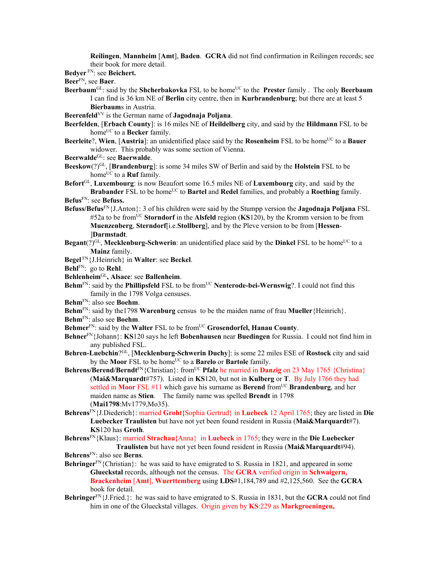**Reilingen**, **Mannheim** [**Amt**], **Baden**. **GCRA** did not find confirmation in Reilingen records; see their book for more detail.

**Bedyer** FN: see **Beichert.**

**Beer**FN, see **Baer**.

- **Beerbaum**<sup>GL</sup>: said by the **Shcherbakovka** FSL to be home<sup>UC</sup> to the **Prester** family . The only **Beerbaum** I can find is 36 km NE of **Berlin** city centre, then in **Kurbrandenburg**; but there are at least 5 **Bierbaum**s in Austria.
- **Beerenfeld**VV is the German name of **Jagodnaja Poljana**.
- **Beerfelden**, [**Erbach County**]: is 16 miles NE of **Heildelberg** city, and said by the **Hildmann** FSL to be home<sup>UC</sup> to a **Becker** family.
- **Beerleite**?, **Wien**, [Austria]: an unidentified place said by the **Rosenheim** FSL to be home<sup>UC</sup> to a **Bauer** widower. This probably was some section of Vienna.
- **Beerwalde**GL: see **Baerwalde**.
- **Beeskow**(?)<sup>GL</sup>, [**Brandenburg**]: is some 34 miles SW of Berlin and said by the **Holstein** FSL to be home<sup>UC</sup> to a **Ruf** family.

**Befort**GL, **Luxembourg**: is now Beaufort some 16.5 miles NE of **Luxembourg** city, and said by the **Brabander** FSL to be home<sup>UC</sup> to **Bartel** and **Redel** families, and probably a **Roething** family.

**Befus**FN: see **Befuss.**

- **Befuss/Befus**FN{J.Anton}: 3 of his children were said by the Stumpp version the **Jagodnaja Poljana** FSL #52a to be fromUC **Storndorf** in the **Alsfeld** region (**KS**120), by the Kromm version to be from **Muenzenberg**, **Sterndorf**[i.e.**Stollberg**], and by the Pleve version to be from [**Hessen**- ]**Darmstadt**.
- **Begant** $(?)^{GL}$ , **Mecklenburg-Schwerin**: an unidentified place said by the **Dinkel** FSL to be home<sup>UC</sup> to a **Mainz** family.
- **Begel** FN{J.Heinrich} in **Walter**: see **Beckel**.
- **Behl**FN: go to **Rehl**.
- **Behlenheim**GL**, Alsace**: see **Ballenheim**.
- **Behm**<sup>FN</sup>: said by the **Phillipsfeld** FSL to be from<sup>UC</sup> **Nenterode-bei-Wernswig**?. I could not find this family in the 1798 Volga censuses.
- **Behm**FN: also see **Boehm**.
- **Behm**FN: said by the1798 **Warenburg** census to be the maiden name of frau **Mueller**{Heinrich}.

**Behm**FN: also see **Boehm**.

- Behmer<sup>FN</sup>: said by the Walter FSL to be from<sup>UC</sup> Grosendorfel, Hanau County.
- **Behner**FN{Johann}: **KS**120 says he left **Bobenhausen** near **Buedingen** for Russia. I could not find him in any published FSL.
- **Behren-Luebchin**?GL, [**Mecklenburg-Schwerin Duchy**]: is some 22 miles ESE of **Rostock** city and said by the **Moor** FSL to be home<sup>UC</sup> to a **Barelo** or **Bartole** family.
- **Behrens/Berend/Berndt**<sup>FN</sup>{Christian}: from<sup>UC</sup> **Pfalz** he married in **Danzig** on 23 May 1765 {Christina} (**Mai&Marquardt**#757). Listed in **KS**120, but not in **Kulberg** or **T**. By July 1766 they had settled in **Moor** FSL #11 which gave his surname as **Berend** fromUC **Brandenburg**, and her maiden name as **Stien**. The family name was spelled **Brendt** in 1798 (**Mai1798**:Mv1779,Mo35).
- **Behrens**FN{J.Diederich}: married **Groht{**Sophia Gertrud} in **Luebeck** 12 April 1765; they are listed in **Die Luebecker Traulisten** but have not yet been found resident in Russia (**Mai&Marquardt**#7). **KS**120 has **Groth**.

**Behrens**FN{Klaus}: married **Strachau{**Anna} in **Luebeck** in 1765; they were in the **Die Luebecker Traulisten** but have not yet been found resident in Russia (**Mai&Marquardt**#94).

- **Behringer**<sup>FN</sup>{Christian}: he was said to have emigrated to S. Russia in 1821, and appeared in some **Glueckstal** records, although not the census. The **GCRA** verified origin in **Schwaigern, Brackenheim** [**Amt**], **Wuerttemberg** using **LDS**#1,184,789 and #2,125,560. See the **GCRA** book for detail.
- **Behringer**FN{J.Fried.}: he was said to have emigrated to S. Russia in 1831, but the **GCRA** could not find him in one of the Glueckstal villages. Origin given by **KS**:229 as **Markgroeningen,**

**Behrens**FN: also see **Berns**.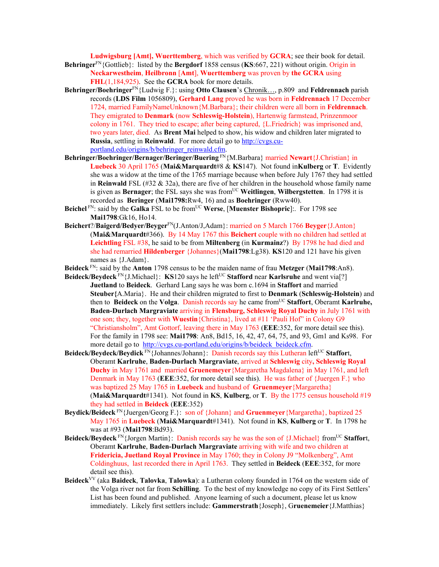**Ludwigsburg [Amt], Wuerttemberg**, which was verified by **GCRA**; see their book for detail.

- **Behringer**FN{Gottlieb}: listed by the **Bergdorf** 1858 census (**KS**:667, 221) without origin. Origin in **Neckarwestheim**, **Heilbronn** [**Amt**], **Wuerttemberg** was proven by **the GCRA** using **FHL**(1,184,925). See the **GCRA** book for more details.
- **Behringer/Boehringer**FN{Ludwig F.}: using **Otto Clausen**'s Chronik…, p.809 and **Feldrennach** parish records (**LDS Film** 1056809), **Gerhard Lang** proved he was born in **Feldrennach** 17 December 1724, married FamilyNameUnknown{M.Barbara}; their children were all born in **Feldrennach**. They emigrated to **Denmark** (now **Schleswig-Holstein**), Hartenwig farmstead, Prinzenmoor colony in 1761. They tried to escape; after being captured, {L.Friedrich} was imprisoned and, two years later, died. As **Brent Mai** helped to show, his widow and children later migrated to **Russia**, settling in **Reinwald**. For more detail go to http://cvgs.cuportland.edu/origins/b/behringer\_reinwald.cfm.
- **Behringer/Boehringer/Bernager/Beringer/Buering** FN{M.Barbara} married **Newart**{J.Christian} in **Luebeck** 30 April 1765 (**Mai&Marquardt**#8 & **KS**147). Not found in**Kulberg** or **T**. Evidently she was a widow at the time of the 1765 marriage because when before July 1767 they had settled in **Reinwald** FSL (#32 & 32a), there are five of her children in the household whose family name is given as **Bernager**; the FSL says she was from<sup>UC</sup> Weitlingen, Wilbergstetten. In 1798 it is recorded as **Beringer** (**Mai1798:**Rw4, 16) and as **Boehringer** (Rww40).
- **Beichel** FN: said by the **Galka** FSL to be from<sup>UC</sup> Werse, [Muenster Bishopric]:. For 1798 see **Mai1798**:Gk16, Ho14.
- **Beichert**?/**Baigerd/Bedyer/Beyger**FN(J.Anton/J,Adam}: married on 5 March 1766 **Beyger**{J.Anton} (**Mai&Marquardt**#366). By 14 May 1767 this **Beichert** couple with no children had settled at **Leichtling** FSL #38, he said to be from **Miltenberg** (in **Kurmainz**?) By 1798 he had died and she had remarried **Hildenberger** {Johannes}(**Mai1798**:Lg38). **KS**120 and 121 have his given names as {J.Adam}.
- **Beideck** FN: said by the **Anton** 1798 census to be the maiden name of frau **Metzger** (**Mai1798**:An8).
- **Beideck/Beydeck** FN{J.Michael}: **KS**120 says he left<sup>UC</sup> Stafford near **Karlsruhe** and went via[?] **Juetland** to **Beideck**. Gerhard Lang says he was born c.1694 in **Staffort** and married **Steuber{**A.Maria}. He and their children migrated to first to **Denmark** (**Schleswig-Holstein**) and then to **Beideck** on the **Volga**. Danish records say he came fromUC **Staffort**, Oberamt **Karlruhe, Baden-Durlach Margraviate** arriving in **Flensburg, Schleswig Royal Duchy** in July 1761 with one son; they, together with **Wuestin**{Christina}, lived at #11 'Pauli Hof" in Colony G9 "Christiansholm", Amt Gottorf, leaving there in May 1763 (**EEE**:352, for more detail see this). For the family in 1798 see: **Mai1798**: An8, Bd15, 16, 42, 47, 64, 75, and 93, Gm1 and Ks98. For more detail go to http://cvgs.cu-portland.edu/origins/b/beideck\_beideck.cfm.
- **Beideck/Beydeck/Beydick** FN{Johannes/Johann}: Danish records say this Lutheran left<sup>UC</sup> Staffort, Oberamt **Karlruhe**, **Baden-Durlach Margraviate**, arrived at **Schleswig** city**, Schleswig Royal Duchy** in May 1761 and married **Gruenemeyer**{Margaretha Magdalena} in May 1761, and left Denmark in May 1763 (**EEE**:352, for more detail see this). He was father of {Juergen F.} who was baptized 25 May 1765 in **Luebeck** and husband of **Gruenmeyer**{Margaretha} (**Mai&Marquardt**#1341). Not found in **KS**, **Kulberg**, or **T**. By the 1775 census household #19 they had settled in **Beideck** (**EEE**:352)
- **Beydick/Beideck** FN{Juergen/Georg F.}: son of {Johann} and **Gruenmeyer**{Margaretha}, baptized 25 May 1765 in **Luebeck** (**Mai&Marquardt**#1341). Not found in **KS**, **Kulberg** or **T**. In 1798 he was at #93 (**Mai1798**:Bd93).
- **Beideck/Beydeck** FN{Jorgen Martin}: Danish records say he was the son of {J.Michael} from<sup>UC</sup> Staffort, Oberamt **Karlruhe**, **Baden-Durlach Margraviate** arriving with wife and two children at **Fridericia, Juetland Royal Province** in May 1760; they in Colony J9 "Molkenberg", Amt Coldinghuus, last recorded there in April 1763. They settled in **Beideck** (**EEE**:352, for more detail see this).
- **Beideck**VV (aka **Baideck**, **Talovka**, **Talowka**): a Lutheran colony founded in 1764 on the western side of the Volga river not far from **Schilling**. To the best of my knowledge no copy of its First Settlers' List has been found and published. Anyone learning of such a document, please let us know immediately. Likely first settlers include: **Gammerstrath**{Joseph}, G**ruenemeier**{J.Matthias}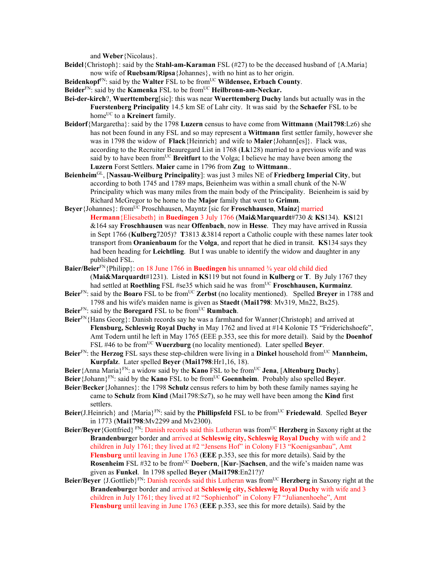and **Weber**{Nicolaus}.

- **Beidel**{Christoph}: said by the **Stahl-am-Karaman** FSL (#27) to be the deceased husband of {A.Maria} now wife of **Ruebsam/Ripsa**{Johannes}, with no hint as to her origin.
- Beidenkopf<sup>FN</sup>: said by the Walter FSL to be from<sup>UC</sup> Wildensee, Erbach County.
- **Beider**<sup>FN</sup>: said by the **Kamenka** FSL to be from<sup>UC</sup> **Heilbronn-am-Neckar.**
- **Bei-der-kirch**?, **Wuerttemberg**[sic]: this was near **Wuerttemberg Duchy** lands but actually was in the **Fuerstenberg Principality** 14.5 km SE of Lahr city. It was said by the **Schaefer** FSL to be home<sup>UC</sup> to a **Kreinert** family.
- **Beidorf**{Margaretha}: said by the 1798 **Luzern** census to have come from **Wittmann** (**Mai1798**:Lz6) she has not been found in any FSL and so may represent a **Wittmann** first settler family, however she was in 1798 the widow of **Flack**{Heinrich} and wife to **Maier**{Johann[es]}. Flack was, according to the Recruiter Beauregard List in 1768 (**Lk**128) married to a previous wife and was said by to have been from<sup>UC</sup> **Breitfurt** to the Volga; I believe he may have been among the **Luzern** Forst Settlers. **Maier** came in 1796 from **Zug** to **Wittmann**..
- **Beienheim**GL, [**Nassau-Weilburg Principality**]: was just 3 miles NE of **Friedberg Imperial City**, but according to both 1745 and 1789 maps, Beienheim was within a small chunk of the N-W Principality which was many miles from the main body of the Principality. Beienheim is said by Richard McGregor to be home to the **Major** family that went to **Grimm**.
- **Beyer** {Johannes}: from<sup>UC</sup> Proschhausen, Mayntz [sic for **Froschhausen**, **Mainz**] married **Hermann**{Eliesabeth} in **Buedingen** 3 July 1766 (**Mai&Marquardt**#730 & **KS**134). **KS**121 &164 say **Froschhausen** was near **Offenbach**, now in **Hesse**. They may have arrived in Russia in Sept 1766 (**Kulberg**7205)? **T**3813 &3814 report a Catholic couple with these names later took transport from **Oranienbaum** for the **Volga**, and report that he died in transit. **KS**134 says they had been heading for **Leichtling**. But I was unable to identify the widow and daughter in any published FSL.
- **Baier/Beier**FN{Philipp}: on 18 June 1766 in **Buedingen** his unnamed ¾ year old child died
	- (**Mai&Marquardt**#1231). Listed in **KS**119 but not found in **Kulberg** or **T**. By July 1767 they had settled at **Roethling** FSL #se35 which said he was from<sup>UC</sup> **Froschhausen, Kurmainz**.
- **Beier**FN: said by the **Boaro** FSL to be fromUC **Zerbst** (no locality mentioned). Spelled **Breyer** in 1788 and 1798 and his wife's maiden name is given as **Staedt** (**Mai1798**: Mv319, Mn22, Bx25).
- **Beier**<sup>FN</sup>: said by the **Boregard** FSL to be from<sup>UC</sup> **Rumbach**.
- **Beier**<sup>FN</sup>{Hans Georg}: Danish records say he was a farmhand for Wanner{Christoph} and arrived at **Flensburg, Schleswig Royal Duchy** in May 1762 and lived at #14 Kolonie T5 "Friderichshoefe", Amt Todern until he left in May 1765 (EEE p.353, see this for more detail). Said by the **Doenhof** FSL #46 to be fromUC **Wuerzburg** (no locality mentioned). Later spelled **Beyer**.
- **Beier**FN: the **Herzog** FSL says these step-children were living in a **Dinkel** household fromUC **Mannheim, Kurpfalz**. Later spelled **Beyer** (**Mai1798**:Hr1,16, 18).
- Beier {Anna Maria}<sup>FN</sup>: a widow said by the **Kano** FSL to be from<sup>UC</sup> Jena, [Altenburg Duchy].
- **Beier**{Johann}FN: said by the **Kano** FSL to be fromUC **Goennheim**. Probably also spelled **Beyer**.
- **Beier**/**Becker**{Johannes}: the 1798 **Schulz** census refers to him by both these family names saying he came to **Schulz** from **Kind** (Mai1798:Sz7), so he may well have been among the **Kind** first settlers.
- **Beier**(J.Heinrich} and {Maria}<sup>FN</sup>: said by the **Phillipsfeld** FSL to be from<sup>UC</sup> **Friedewald**. Spelled **Beyer** in 1773 (**Mai1798**:Mv2299 and Mv2300).
- **Beier/Beyer** {Gottfried} FN: Danish records said this Lutheran was from<sup>UC</sup> **Herzberg** in Saxony right at the **Brandenburg**er border and arrived at **Schleswig city, Schleswig Royal Duchy** with wife and 2 children in July 1761; they lived at #2 "Jensens Hof" in Colony F13 "Koenigsanbau", Amt **Flensburg** until leaving in June 1763 (**EEE** p.353, see this for more details). Said by the **Rosenheim** FSL #32 to be from<sup>UC</sup> Doebern, [Kur-]Sachsen, and the wife's maiden name was given as **Funkel**. In 1798 spelled **Beyer** (**Mai1798**:En21?)?
- **Beier/Beyer** {J.Gottlieb}<sup>FN</sup>: Danish records said this Lutheran was from<sup>UC</sup> **Herzberg** in Saxony right at the **Brandenburg**er border and arrived at **Schleswig city, Schleswig Royal Duchy** with wife and 3 children in July 1761; they lived at #2 "Sophienhof" in Colony F7 "Julianenhoehe", Amt **Flensburg** until leaving in June 1763 (**EEE** p.353, see this for more details). Said by the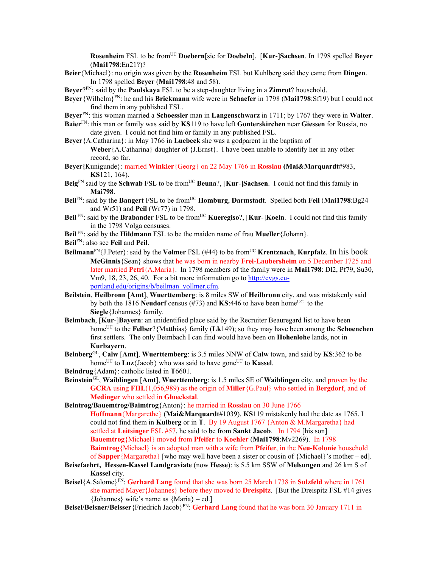**Rosenheim** FSL to be fromUC **Doebern**[sic for **Doebeln**], [**Kur**-]**Sachsen**. In 1798 spelled **Beyer** (**Mai1798**:En21?)?

**Beier**{Michael}: no origin was given by the **Rosenheim** FSL but Kuhlberg said they came from **Dingen**. In 1798 spelled **Beyer** (**Mai1798**:48 and 58).

**Beyer**?FN: said by the **Paulskaya** FSL to be a step-daughter living in a **Zimrot**? household.

- **Beyer**{Wilhelm}FN: he and his **Brickmann** wife were in **Schaefer** in 1798 (**Mai1798**:Sf19) but I could not find them in any published FSL.
- **Beyer**FN: this woman married a **Schoessler** man in **Langenschwarz** in 1711; by 1767 they were in **Walter**.
- **Baier**FN: this man or family was said by **KS**119 to have left **Gonterskirchen** near **Giessen** for Russia, no date given. I could not find him or family in any published FSL.
- **Beyer**{A.Catharina}: in May 1766 in **Luebeck** she was a godparent in the baptism of **Weber**{A.Catharina} daughter of {J.Ernst}. I have been unable to identify her in any other record, so far.
- **Beyer{**Kunigunde}: married **Winkler**{Georg} on 22 May 1766 in **Rosslau (Mai&Marquardt**#983, **KS**121, 164).
- **Beig**FN said by the **Schwab** FSL to be fromUC **Beuna**?, [**Kur**-]**Sachsen**. I could not find this family in **Mai798**.
- **Beil**FN: said by the **Bangert** FSL to be fromUC **Homburg**, **Darmstadt**. Spelled both **Feil** (**Mai1798**:Bg24 and Wr51) and **Peil** (Wr77) in 1798.
- **Beil** FN: said by the **Brabander** FSL to be from<sup>UC</sup> **Kueregiso**?, [**Kur-**]**Koeln**. I could not find this family in the 1798 Volga censuses.
- **Beil** FN: said by the **Hildmann** FSL to be the maiden name of frau **Mueller**{Johann}.
- **Beil**FN: also see **Feil** and **Peil**.
- **Beilmann**<sup>FN</sup>{J.Peter}: said by the **Volmer** FSL (#44) to be from<sup>UC</sup> **Krentznach**, **Kurpfalz**. In his book **McGinnis**{Sean} shows that he was born in nearby **Frei-Laubersheim** on 5 December 1725 and later married **Petri**{A.Maria}. In 1798 members of the family were in **Mai1798**: Dl2, Pf79, Su30, Vm9, 18, 23, 26, 40. For a bit more information go to http://cvgs.cuportland.edu/origins/b/beilman\_vollmer.cfm.
- **Beilstein**, **Heilbronn** [**Amt**], **Wuerttemberg**: is 8 miles SW of **Heilbronn** city, and was mistakenly said by both the 1816 **Neudorf** census ( $#73$ ) and **KS**:446 to have been home<sup>UC</sup> to the **Siegle**{Johannes} family.
- **Beimbach**, [**Kur**-]**Bayern**: an unidentified place said by the Recruiter Beauregard list to have been home<sup>UC</sup> to the **Felber**? {Matthias} family (**Lk**149); so they may have been among the **Schoenchen** first settlers. The only Beimbach I can find would have been on **Hohenlohe** lands, not in **Kurbayern**.
- **Beinberg**GL, **Calw** [**Amt**], **Wuerttemberg**: is 3.5 miles NNW of **Calw** town, and said by **KS**:362 to be home<sup>UC</sup> to **Luz**{Jacob} who was said to have gone<sup>UC</sup> to **Kassel**.
- **Beindrug**{Adam}: catholic listed in **T**6601.
- **Beinstein**GL, **Waiblingen** [**Amt**], **Wuerttemberg**: is 1.5 miles SE of **Waiblingen** city, and proven by the **GCRA** using **FHL**(1,056,989) as the origin of **Miller**{G.Paul} who settled in **Bergdorf**, and of **Medinger** who settled in **Glueckstal**.

**Beintrog/Bauemtrog/Baimtrog**{Anton}: he married in **Rosslau** on 30 June 1766 **Hoffmann**{Margarethe} (**Mai&Marquardt**#1039). **KS**119 mistakenly had the date as 1765. I could not find them in **Kulberg** or in **T**. By 19 August 1767 {Anton & M.Margaretha} had settled at **Leitsinger** FSL #57, he said to be from **Sankt Jacob**. In 1794 [his son] **Bauemtrog**{Michael} moved from **Pfeifer** to **Koehler** (**Mai1798**:Mv2269). In 1798 **Baimtrog**{Michael} is an adopted man with a wife from **Pfeifer**, in the **Neu-Kolonie** household of **Sapper**{Margaretha} [who may well have been a sister or cousin of {Michael}'s mother – ed].

- **Beisefaehrt, Hessen-Kassel Landgraviate** (now **Hesse**): is 5.5 km SSW of **Melsungen** and 26 km S of **Kassel** city.
- **Beisel**{A.Salome}FN: **Gerhard Lang** found that she was born 25 March 1738 in **Sulzfeld** where in 1761 she married Mayer{Johannes} before they moved to **Dreispitz**. [But the Dreispitz FSL #14 gives {Johannes} wife's name as {Maria} – ed.]
- **Beisel/Beisner/Beisser**{Friedrich Jacob}FN: **Gerhard Lang** found that he was born 30 January 1711 in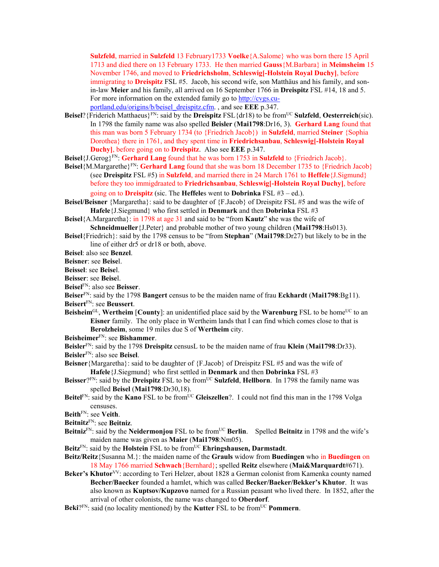**Sulzfeld**, married in **Sulzfeld** 13 February1733 **Voelke**{A.Salome} who was born there 15 April 1713 and died there on 13 February 1733. He then married **Gauss**{M.Barbara} in **Meimsheim** 15 November 1746, and moved to **Friedrichsholm**, **Schleswig[-Holstein Royal Duchy]**, before immigrating to **Dreispitz** FSL #5. Jacob, his second wife, son Matthäus and his family, and sonin-law **Meier** and his family, all arrived on 16 September 1766 in **Dreispitz** FSL #14, 18 and 5. For more information on the extended family go to http://cvgs.cuportland.edu/origins/b/beisel\_dreispitz.cfm. , and see **EEE** p.347.

- **Beisel**?{Friderich Matthaeus}FN: said by the **Dreispitz** FSL{dr18) to be fromUC **Sulzfeld**, **Oesterreich**(sic). In 1798 the family name was also spelled **Beisler** (**Mai1798**:Dr16, 3). **Gerhard Lang** found that this man was born 5 February 1734 (to {Friedrich Jacob}) in **Sulzfeld**, married **Steiner** {Sophia Dorothea} there in 1761, and they spent time in **Friedrichsanbau**, **Schleswig[-Holstein Royal Duchy]**, before going on to **Dreispitz**. Also see **EEE** p.347.
- **Beisel**{J.Gerog}FN: **Gerhard Lang** found that he was born 1753 in **Sulzfeld** to {Friedrich Jacob}.
- **Beisel**{M.Margarethe}FN: **Gerhard Lang** found that she was born 18 December 1735 to {Friedrich Jacob} (see **Dreispitz** FSL #5) in **Sulzfeld**, and married there in 24 March 1761 to **Heffele**{J.Sigmund} before they too immigdraated to **Friedrichsanbau**, **Schleswig[-Holstein Royal Duchy]**, before going on to **Dreispitz** (sic. The **Heffele**s went to **Dobrinka** FSL #3 – ed.).
- **Beisel/Beisner** {Margaretha}: said to be daughter of {F.Jacob} of Dreispitz FSL #5 and was the wife of **Hafele**{J.Siegmund} who first settled in **Denmark** and then **Dobrinka** FSL #3
- **Beisel**{A.Margaretha}: in 1798 at age 31 and said to be "from **Kautz**" **s**he was the wife of **Schneidmueller**{J.Peter} and probable mother of two young children (**Mai1798**:Hs013).
- **Beisel**{Friedrich}: said by the 1798 census to be "from **Stephan**" (**Mai1798**:Dr27) but likely to be in the line of either dr5 or dr18 or both, above.

**Beisel**: also see **Benzel**.

**Beisner**: see **Beise**l.

**Beissel**: see **Beise**l.

**Beisser**: see **Beise**l.

**Beisel**FN: also see **Beisser**.

- **Beiser**FN: said by the 1798 **Bangert** census to be the maiden name of frau **Eckhardt** (**Mai1798**:Bg11). **Beisert**FN: see **Beussert**.
- **Beisheim**<sup>GL</sup>, **Wertheim** [**County**]: an unidentified place said by the **Warenburg** FSL to be home<sup>UC</sup> to an **Eisner** family. The only place in Wertheim lands that I can find which comes close to that is **Berolzheim**, some 19 miles due S of **Wertheim** city.
- **Beisheimer**FN: see **Bishammer**.

**Beisler**FN: said by the 1798 **Dreispitz** censusL to be the maiden name of frau **Klein** (**Mai1798**:Dr33).

**Beisler**FN: also see **Beisel**.

**Beisner**{Margaretha}: said to be daughter of {F.Jacob} of Dreispitz FSL #5 and was the wife of **Hafele**{J.Siegmund} who first settled in **Denmark** and then **Dobrinka** FSL #3

- **Beisser**?FN: said by the **Dreispitz** FSL to be fromUC **Sulzfeld**, **Hellborn**. In 1798 the family name was spelled **Beisel** (**Mai1798**:Dr30,18).
- Beitel<sup>FN</sup>: said by the **Kano** FSL to be from<sup>UC</sup> Gleiszellen?. I could not find this man in the 1798 Volga censuses.

**Beith**FN: see **Veith**.

**Beitnitz**FN: see **Beitniz**.

- Beitniz<sup>FN</sup>: said by the Neidermonjou FSL to be from<sup>UC</sup> Berlin. Spelled Beitnitz in 1798 and the wife's maiden name was given as **Maier** (**Mai1798**:Nm05).
- **Beitz**FN: said by the **Holstein** FSL to be fromUC **Ehringshausen, Darmstadt**.
- **Beitz/Reitz**{Susanna M.}: the maiden name of the **Grauls** widow from **Buedingen** who in **Buedingen** on 18 May 1766 married **Schwach**{Bernhard}; spelled **Reitz** elsewhere (**Mai&Marquardt**#671).
- Beker's Khutor<sup>VV</sup>: according to Teri Helzer, about 1828 a German colonist from Kamenka county named **Becher/Baecker** founded a hamlet, which was called **Becker/Baeker/Bekker's Khutor**. It was also known as **Kuptsov/Kupzovo** named for a Russian peasant who lived there. In 1852, after the arrival of other colonists, the name was changed to **Oberdorf**.
- Beki?<sup>FN</sup>: said (no locality mentioned) by the **Kutter** FSL to be from<sup>UC</sup> **Pommern**.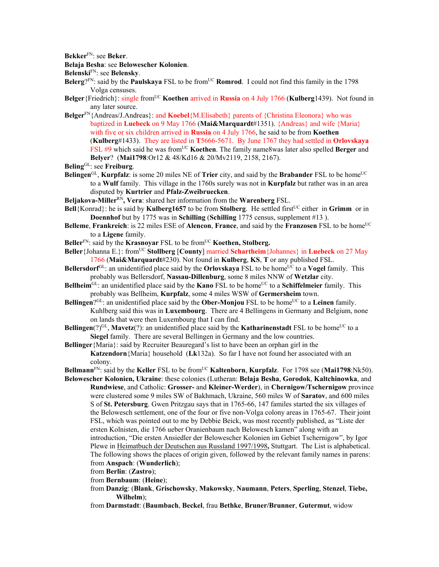**Bekker**FN: see **Beker**.

**Belaja Besha**: see **Belowescher Kolonien**.

**Belenski**FN: see **Belensky**.

- **Belerg**? $FN$ : said by the **Paulskaya** FSL to be from<sup>UC</sup> **Romrod**. I could not find this family in the 1798 Volga censuses.
- **Belger** {Friedrich}: single from<sup>UC</sup> **Koethen** arrived in **Russia** on 4 July 1766 (**Kulberg**1439). Not found in any later source.
- **Belger**FN{Andreas/J.Andreas}: and **Koebel**{M.Elisabeth} parents of {Christina Eleonora} who was baptized in **Luebeck** on 9 May 1766 (**Mai&Marquardt**#1351). {Andreas} and wife {Maria} with five or six children arrived in **Russia** on 4 July 1766, he said to be from **Koethen** (**Kulberg**#1433). They are listed in **T**5666-5671. By June 1767 they had settled in **Orlovskaya** FSL #9 which said he was fromUC **Koethen**. The family name8was later also spelled **Berger** and **Belyer**? (**Mai1798**:Or12 & 48/Kd16 & 20/Mv2119, 2158, 2167).
- **Beling**GL: see **Freiburg**.
- **Belingen**<sup>GL</sup>, **Kurpfalz**: is some 20 miles NE of **Trier** city, and said by the **Brabander** FSL to be home<sup>UC</sup> to a **Wulf** family. This village in the 1760s surely was not in **Kurpfalz** but rather was in an area disputed by **Kurtrier** and **Pfalz-Zweibruecken**.
- **Beljakova-Miller**RN**, Vera**: shared her information from the **Warenberg** FSL.
- **Bell**{Konrad}: he is said by **Kulberg1657** to be from **Stolberg**. He settled first<sup>UC</sup> either in Grimm or in **Doennhof** but by 1775 was in **Schilling** (**Schilling** 1775 census, supplement #13 ).
- **Belleme**, **Frankreich**: is 22 miles ESE of **Alencon**, **France**, and said by the **Franzosen** FSL to be home<sup>UC</sup> to a **Ligene** family.
- **Beller**<sup>FN</sup>: said by the **Krasnoyar** FSL to be from<sup>UC</sup> **Koethen, Stolberg.**
- **Beller**{Johanna E.}: fromUC **Stollberg** [**County**] married **Schartheim**{Johannes} in **Luebeck** on 27 May 1766 (**Mai&Marquardt**#230). Not found in **Kulberg**, **KS**, **T** or any published FSL.
- **Bellersdorf**<sup>GL</sup>: an unidentified place said by the **Orlovskaya** FSL to be home<sup>UC</sup> to a **Vogel** family. This probably was Bellersdorf, **Nassau-Dillenburg**, some 8 miles NNW of **Wetzlar** city.
- **Bellheim**<sup>GL</sup>: an unidentified place said by the **Kano** FSL to be home<sup>UC</sup> to a **Schiffelmeier** family. This probably was Bellheim, **Kurpfalz**, some 4 miles WSW of **Germersheim** town.
- **Bellingen**?<sup>GL</sup>: an unidentified place said by the **Ober-Monjou** FSL to be home<sup>UC</sup> to a Leinen family. Kuhlberg said this was in **Luxembourg**. There are 4 Bellingens in Germany and Belgium, none on lands that were then Luxembourg that I can find.
- **Bellingen**(?)<sup>GL</sup>, **Mavetz**(?): an unidentified place said by the **Katharinenstadt** FSL to be home<sup>UC</sup> to a **Siegel** family. There are several Bellingen in Germany and the low countries.

**Bellinger**{Maria}: said by Recruiter Beauregard's list to have been an orphan girl in the **Katzendorn**{Maria} household (**Lk**132a). So far I have not found her associated with an colony.

**Bellmann**<sup>FN</sup>: said by the **Keller** FSL to be from<sup>UC</sup> **Kaltenborn**, **Kurpfalz**. For 1798 see (Mai1798:Nk50).

- **Belowescher Kolonien, Ukraine**: these colonies (Lutheran: **Belaja Besha**, **Gorodok**, **Kaltchinowka**, and **Rundwiese**, and Catholic: **Grosser-** and **Kleiner-Werder**), in **Chernigow/Tschernigow** province were clustered some 9 miles SW of Bakhmach, Ukraine, 560 miles W of **Saratov**, and 600 miles S of **St. Petersburg**. Gwen Pritzgau says that in 1765-66, 147 familes started the six villages of the Belowesch settlement, one of the four or five non-Volga colony areas in 1765-67. Their joint FSL, which was pointed out to me by Debbie Beick, was most recently published, as "Liste der ersten Kolnisten, die 1766 ueber Oranienbaum nach Belowesch kamen" along with an introduction, "Die ersten Ansiedler der Belowescher Kolonien im Gebiet Tschernigow", by Igor Plewe in Heimatbuch der Deutschen aus Russland 1997/1998**,** Stuttgart. The List is alphabetical. The following shows the places of origin given, followed by the relevant family names in parens: from **Anspach**: (**Wunderlich**);
	- from **Berlin**: (**Zastro**);
	- from **Bernbaum**: (**Heine**);
	- from **Danzig**: (**Blank**, **Grischowsky**, **Makowsky**, **Naumann**, **Peters**, **Sperling**, **Stenzel**, **Tiebe, Wilhelm**);
	- from **Darmstadt**: (**Baumbach**, **Beckel**, frau **Bethke**, **Bruner/Brunner**, **Gutermut**, widow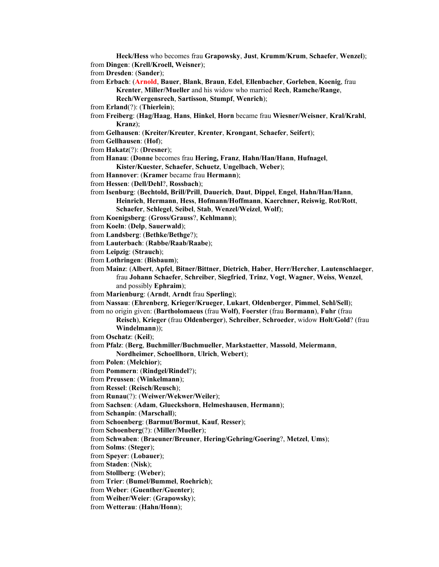**Heck/Hess** who becomes frau **Grapowsky**, **Just**, **Krumm/Krum**, **Schaefer**, **Wenzel**); from **Dingen**: (**Krell/Kroell, Weisner**);

from **Dresden**: (**Sander**);

- from **Erbach**: (**Arnold**, **Bauer**, **Blank**, **Braun**, **Edel**, **Ellenbacher**, **Gorleben**, **Koenig**, frau **Krenter**, **Miller/Mueller** and his widow who married **Rech**, **Ramche/Range**,
	- **Rech/Wergensrech**, **Sartisson**, **Stumpf**, **Wenrich**);
- from **Erland**(?): (**Thierlein**);
- from **Freiberg**: (**Hag/Haag**, **Hans**, **Hinkel**, **Horn** became frau **Wiesner/Weisner**, **Kral/Krahl**, **Kranz**);
- from **Gelhausen**: (**Kreiter/Kreuter**, **Krenter**, **Krongant**, **Schaefer**, **Seifert**);
- from **Gellhausen**: (**Hof**);
- from **Hakatz**(?): (**Dresner**);
- from **Hanau**: (**Donne** becomes frau **Hering, Franz**, **Hahn/Han/Hann**, **Hufnagel**,

**Kister/Kuester**, **Schaefer**, **Schuetz**, **Ungelbach**, **Weber**);

- from **Hannover**: (**Kramer** became frau **Hermann**);
- from **Hessen**: (**Dell/Dehl**?, **Rossbach**);

from **Isenburg**: (**Bechtold, Brill/Prill**, **Dauerich**, **Daut**, **Dippel**, **Engel**, **Hahn/Han/Hann**, **Heinrich**, **Hermann**, **Hess**, **Hofmann/Hoffmann**, **Kaerchner, Reiswig**, **Rot/Rott**, **Schaefer**, **Schlegel**, **Seibel**, **Stab**, **Wenzel/Weizel**, **Wolf**);

- from **Koenigsberg**: (**Gross/Grauss**?, **Kehlmann**);
- from **Koeln**: (**Delp**, **Sauerwald**);
- from **Landsberg**: (**Bethke/Bethge**?);
- from **Lauterbach**: (**Rabbe/Raab/Raabe**);
- from **Leipzig**: (**Strauch**);
- from **Lothringen**: (**Bisbaum**);

from **Mainz**: (**Albert**, **Apfel**, **Bitner/Bittner**, **Dietrich**, **Haber**, **Herr/Hercher**, **Lautenschlaeger**, frau **Johann Schaefer**, **Schreiber**, **Siegfried**, **Trinz**, **Vogt**, **Wagner**, **Weiss**, **Wenzel**, and possibly **Ephraim**);

- from **Marienburg**: (**Arndt**, **Arndt** frau **Sperling**);
- from **Nassau**: (**Ehrenberg**, **Krieger/Krueger**, **Lukart**, **Oldenberger**, **Pimmel**, **Sehl/Sell**);

from no origin given: (**Bartholomaeus** (frau **Wolf)**, **Foerster** (frau **Bormann**), **Fuhr** (frau **Reisch**), **Krieger** (frau **Oldenberger**), **Schreiber**, **Schroeder**, widow **Holt/Gold**? (frau

- **Windelmann**));
- from **Oschatz**: (**Keil**);
- from **Pfalz**: (**Berg**, **Buchmiller/Buchmueller**, **Markstaetter**, **Massold**, **Meiermann**,
- **Nordheimer**, **Schoellhorn**, **Ulrich**, **Webert**);
- from **Polen**: (**Melchior**);
- from **Pommern**: (**Rindgel/Rindel**?);
- from **Preussen**: (**Winkelmann**);
- from **Ressel**: (**Reisch/Reusch**);

from **Runau**(?): (**Weiwer/Wekwer/Weiler**);

from **Sachsen**: (**Adam**, **Glueckshorn**, **Helmeshausen**, **Hermann**);

from **Schanpin**: (**Marschall**);

from **Schoenberg**: (**Barmut/Bormut**, **Kauf**, **Resser**);

from **Schoenberg**(?): (**Miller/Mueller**);

from **Schwaben**: (**Braeuner/Breuner**, **Hering/Gehring/Goering**?, **Metzel**, **Ums**);

from **Solms**: (**Steger**);

- from **Speyer**: (**Lobauer**);
- from **Staden**: (**Nisk**);
- from **Stollberg**: (**Weber**);
- from **Trier**: (**Bumel/Bummel**, **Roehrich**);
- from **Weber**: (**Guenther/Guenter**);
- from **Weiher/Weier**: (**Grapowsky**);
- from **Wetterau**: (**Hahn/Honn**);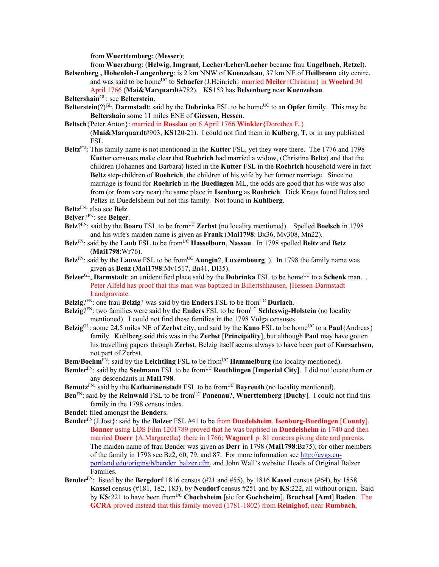from **Wuerttemberg**: (**Messer**);

from **Wuerzburg**: (**Helwig**, **Imgrant**, **Lecher/Leher/Laeher** became frau **Ungelbach**, **Retzel**).

- **Belsenberg , Hohenloh-Langenberg**: is 2 km NNW of **Kuenzelsau**, 37 km NE of **Heilbronn** city centre, and was said to be homeUC to **Schaefer**{J.Heinrich} married **Meiler**{Christina} in **Woehrd** 30 April 1766 (**Mai&Marquardt**#782). **KS**153 has **Belsenberg** near **Kuenzelsau**.
- **Beltershain**GL: see **Belterstein**.
- **Belterstein**( $?$ )<sup>GL</sup>, **Darmstadt**: said by the **Dobrinka** FSL to be home<sup>UC</sup> to an **Opfer** family. This may be **Beltershain** some 11 miles ENE of **Giessen, Hessen**.
- **Beltsch**{Peter Anton}: married in **Rosslau** on 6 April 1766 **Winkler**{Dorothea E.} (**Mai&Marquardt**#903, **KS**120-21). I could not find them in **Kulberg**, **T**, or in any published FSL
- **Beltz**FN**:** This family name is not mentioned in the **Kutter** FSL, yet they were there. The 1776 and 1798 **Kutter** censuses make clear that **Roehrich** had married a widow, (Christina **Beltz**) and that the children (Johannes and Barbara) listed in the **Kutter** FSL in the **Roehrich** household were in fact **Beltz** step-children of **Roehrich**, the children of his wife by her former marriage. Since no marriage is found for **Roehrich** in the **Buedingen** ML, the odds are good that his wife was also from (or from very near) the same place in **Isenburg** as **Roehrich**. Dick Kraus found Beltzs and Peltzs in Duedelsheim but not this family. Not found in **Kuhlberg**.
- **Beltz**FN: also see **Belz**.
- **Belyer**?FN: see **Belger**.
- **Belz**<sup> $2FN$ </sup>: said by the **Boaro** FSL to be from<sup>UC</sup> **Zerbst** (no locality mentioned). Spelled **Boelsch** in 1798 and his wife's maiden name is given as **Frank** (**Mai1798**: Bx36, Mv308, Mn22).
- **Belz**FN: said by the **Laub** FSL to be fromUC **Hasselborn**, **Nassau**. In 1798 spelled **Beltz** and **Betz** (**Mai1798**:Wr76).
- Belz<sup>FN</sup>: said by the Lauwe FSL to be from<sup>UC</sup> Aungin?, Luxembourg. ). In 1798 the family name was given as **Benz** (**Mai1798**:Mv1517, Bn41, Dl35).
- **Belzer**<sup>GL</sup>, **Darmstadt**: an unidentified place said by the **Dobrinka** FSL to be home<sup>UC</sup> to a **Schenk** man. Peter Alfeld has proof that this man was baptized in Billertshhausen, [Hessen-Darmstadt Landgraviate.
- **Belzig**? $F_N$ : one frau **Belzig**? was said by the **Enders** FSL to be from<sup>UC</sup> **Durlach**.
- **Belzig**?<sup>FN</sup>: two families were said by the **Enders** FSL to be from<sup>UC</sup> Schleswig-Holstein (no locality mentioned). I could not find these families in the 1798 Volga censuses.
- **Belzig**GL: aome 24.5 miles NE of **Zerbst** city, and said by the **Kano** FSL to be home<sup>UC</sup> to a **Paul**{Andreas} family. Kuhlberg said this was in the **Zerbst** [**Principality**], but although **Paul** may have gotten his travelling papers through **Zerbst**, Belzig itself seems always to have been part of **Kursachsen**, not part of Zerbst.
- **Bem/Boehm**<sup>FN</sup>: said by the **Leichtling** FSL to be from<sup>UC</sup> **Hammelburg** (no locality mentioned).
- **Bemler**<sup>FN</sup>: said by the **Seelmann** FSL to be from<sup>UC</sup> **Reuthlingen** [Imperial City]. I did not locate them or any descendants in **Mai1798**.
- **Bemutz**<sup>FN</sup>: said by the **Katharinenstadt** FSL to be from<sup>UC</sup> **Bayreuth** (no locality mentioned).
- **Ben**FN: said by the **Reinwald** FSL to be fromUC **Panenau**?, **Wuerttemberg** [**Duchy**]. I could not find this family in the 1798 census index.
- **Bendel**: filed amongst the **Bender**s.
- **Bender**FN{J.Jost}: said by the **Balzer** FSL #41 to be from **Duedelsheim**, **Isenburg-Buedingen** [**County**]. **Bonner** using LDS Film 1201789 proved that he was baptised in **Duedelsheim** in 1740 and then married **Doerr** {A.Margaretha} there in 1766; **Wagner1** p. 81 concurs giving date and parents. The maiden name of frau Bender was given as **Derr** in 1798 (**Mai1798**:Bz75); for other members of the family in 1798 see Bz2, 60, 79, and 87. For more information see http://cvgs.cuportland.edu/origins/b/bender\_balzer.cfm, and John Wall's website: Heads of Original Balzer Families.
- **Bender**FN: listed by the **Bergdorf** 1816 census (#21 and #55), by 1816 **Kassel** census (#64), by 1858 **Kassel** census (#181, 182, 183), by **Neudorf** census #251 and by **KS**:222, all without origin. Said by **KS**:221 to have been fromUC **Chochsheim** [sic for **Gochsheim**], **Bruchsal** [**Amt**] **Baden**. The **GCRA** proved instead that this family moved (1781-1802) from **Reinighof**, near **Rumbach**,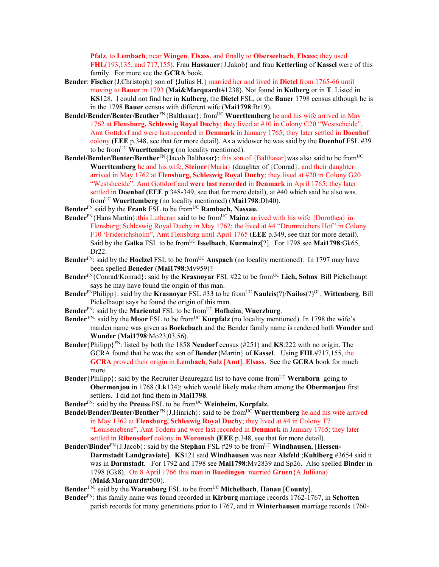**Pfalz**, to **Lembach**, near **Wingen**, **Elsass**, and finally to **Oberseebach**, **Elsass;** they used **FHL**(193,135, and 717,155). Frau **Hassauer**{J.Jakob} and frau **Ketterling** of **Kassel** were of this family. For more see the **GCRA** book.

- **Bender**: **Fischer**{J.Christoph} son of {Julius H.} married her and lived in **Dietel** from 1765-66 until moving to **Bauer** in 1793 (**Mai&Marquardt**#1238). Not found in **Kulberg** or in **T**. Listed in **KS**128. I could not find her in **Kulberg**, the **Dietel** FSL, or the **Bauer** 1798 census although he is in the 1798 **Bauer** census with different wife (**Mai1798**:Br19).
- **Bendel/Bender/Benter/Benther**<sup>FN</sup>{Balthasar}: from<sup>UC</sup> **Wuerttemberg** he and his wife arrived in May 1762 at **Flensburg, Schleswig Royal Duchy**; they lived at #10 in Colony G20 "Westscheide", Amt Gottdorf and were last recorded in **Denmark** in January 1765; they later settled in **Doenhof**  colony **(EEE** p.348, see that for more detail). As a widower he was said by the **Doenhof** FSL #39 to be fromUC **Wuerttemberg** (no locality mentioned).
- **Bendel/Bender/Benter/Benther**<sup>FN</sup>{Jacob Balthasar}: this son of {Balthasar}was also said to be from<sup>UC</sup> **Wuerttemberg** he and his wife, **Steiner**{Maria} (daughter of {Conrad}, and their daughter arrived in May 1762 at **Flensburg, Schleswig Royal Duchy**; they lived at #20 in Colony G20 "Westshceide", Amt Gottdorf and **were last recorded** in **Denmark** in April 1765; they later settled in **Doenhof (EEE** p.348-349, see that for more detail), at #40 which said he also was. fromUC **Wuerttemberg** (no locality mentioned) (**Mai1798**:Dh40).
- Bender<sup>FN</sup> said by the **Frank** FSL to be from<sup>UC</sup> **Rambach**, Nassau.
- **Bender**<sup>FN</sup>{Hans Martin}:this Lutheran said to be from<sup>UC</sup> Mainz arrived with his wife {Dorothea} in Flensburg, Schleswig Royal Duchy in May 1762; the lived at #4 "Drumreichers Hof" in Colony F10 'Friderichsholm", Amt Flensburg until April 1765 (**EEE** p.349, see that for more detail). Said by the Galka FSL to be from<sup>UC</sup> Isselbach, Kurmainz<sup>[?]</sup>. For 1798 see Mai1798:Gk65, Dr22.
- **Bender**<sup>FN</sup>: said by the **Hoelzel** FSL to be from<sup>UC</sup> **Anspach** (no locality mentioned). In 1797 may have been spelled **Beneder** (**Mai1798**:Mv959)?
- **Bender**FN{Conrad/Konrad}: said by the **Krasnoyar** FSL #22 to be fromUC **Lich, Solms** Bill Pickelhaupt says he may have found the origin of this man.
- **Bender**FNPhilipp}: said by the **Krasnoyar** FSL #33 to be from<sup>UC</sup> **Nauleis**(?)/**Nailos**(?)<sup>GL</sup>, **Wittenberg**. Bill Pickelhaupt says he found the origin of this man.
- **Bender**FN: said by the **Mariental** FSL to be fromUC **Hofheim**, **Wuerzburg**.
- **Bender** FN: said by the **Moor** FSL to be from<sup>UC</sup> **Kurpfalz** (no locality mentioned). In 1798 the wife's maiden name was given as **Boekebach** and the Bender family name is rendered both **Wonder** and **Wunder** (**Mai1798**:Mo23,03,56).
- **Bender**{Philipp}FN: listed by both the 1858 **Neudorf** census (#251) and **KS**:222 with no origin. The GCRA found that he was the son of **Bender**{Martin} of **Kassel**. Using **FHL**#717,155, the **GCRA** proved their origin in **Lembach**, **Sulz** [**Amt**], **Elsass**. See the **GCRA** book for much more.
- **Bender** {Philipp}: said by the Recruiter Beauregard list to have come from<sup>UC</sup> Wernborn going to **Obermonjou** in 1768 (**Lk**134); which would likely make them among the **Obermonjou** first settlers. I did not find them in **Mai1798**.
- Bender<sup>FN</sup>: said by the Preuss FSL to be from<sup>UC</sup> Weinheim, Kurpfalz.
- **Bendel/Bender/Benter/Benther**<sup>FN</sup>{J.Hinrich}: said to be from<sup>UC</sup> **Wuerttemberg** he and his wife arrived in May 1762 at **Flensburg, Schleswig Royal Duchy**; they lived at #4 in Colony T7 "Louisenebene", Amt Todern and were last recorded in **Denmark** in January 1765; they later settled in **Ribensdorf** colony in **Woronesh (EEE** p.348, see that for more detail).
- **Bender/Binder**<sup>FN</sup>{J.Jacob}: said by the **Stephan** FSL #29 to be from<sup>UC</sup> **Windhausen**, [**Hessen**-**Darmstadt Landgraviate**]. **KS**121 said **Windhausen** was near **Alsfeld** ;**Kuhlberg** #3654 said it was in **Darmstadt**. For 1792 and 1798 see **Mai1798**:Mv2839 and Sp26. Also spelled **Binder** in 1798 (Gk8). On 8 April 1766 this man in **Buedingen** married **Gruen**{A.Juliiana} (**Mai&Marquardt**#500).
- **Bender** FN: said by the **Warenburg** FSL to be from<sup>UC</sup> **Michelbach**, **Hanau** [County].
- **Bender**FN: this family name was found recorded in **Kirburg** marriage records 1762-1767, in **Schotten** parish records for many generations prior to 1767, and in **Winterhausen** marriage records 1760-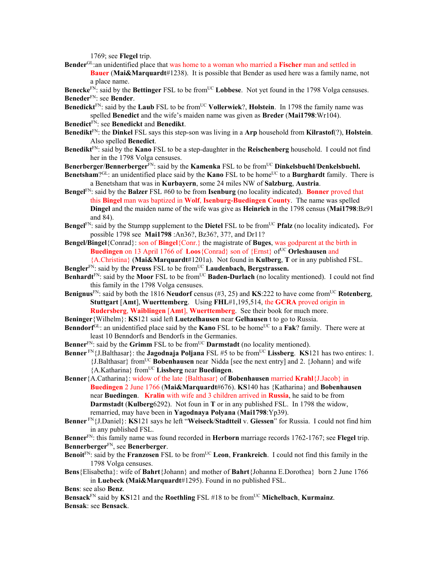1769; see **Flegel** trip.

**Bender**GL:an unidentified place that was home to a woman who married a **Fischer** man and settled in

**Bauer** (**Mai&Marquardt**#1238). It is possible that Bender as used here was a family name, not a place name.

**Benecke**<sup>FN</sup>: said by the **Bettinger** FSL to be from<sup>UC</sup> **Lobbese**. Not yet found in the 1798 Volga censuses. **Beneder**FN: see **Bender**.

- **Benedickt**<sup>FN</sup>: said by the **Laub** FSL to be from<sup>UC</sup> **Vollerwiek**?, **Holstein**. In 1798 the family name was spelled **Benedict** and the wife's maiden name was given as **Breder** (**Mai1798**:Wr104).
- **Benedict**FN: see **Benedickt** and **Benedikt**.
- **Benedikt**FN: the **Dinkel** FSL says this step-son was living in a **Arp** household from **Kilrastof**(?), **Holstein**. Also spelled **Benedict**.
- **Benedikt**FN: said by the **Kano** FSL to be a step-daughter in the **Reischenberg** household. I could not find her in the 1798 Volga censuses.

**Benerberger/Bennerberger**<sup>FN</sup>: said by the **Kamenka** FSL to be from<sup>UC</sup> Dinkelsbuehl/Denkelsbuehl.

- **Benetsham**?GL: an unidentified place said by the **Kano** FSL to be home<sup>UC</sup> to a **Burghardt** family. There is a Benetsham that was in **Kurbayern**, some 24 miles NW of **Salzburg**, **Austria**.
- **Bengel**FN: said by the **Balzer** FSL #60 to be from **Isenburg** (no locality indicated). **Bonner** proved that this **Bingel** man was baptized in **Wolf**, **Isenburg-Buedingen County**. The name was spelled **Dingel** and the maiden name of the wife was give as **Heinrich** in the 1798 census (**Mai1798**:Bz91 and 84).
- **Bengel**<sup>FN</sup>: said by the Stumpp supplement to the **Dietel** FSL to be from<sup>UC</sup> **Pfalz** (no locality indicated). For possible 1798 see **Mai1798** :An36?, Bz36?, 37?, and Dr11?
- **Bengel/Bingel**{Conrad}: son of **Bingel**{Conr.} the magistrate of **Buges**, was godparent at the birth in **Buedingen** on 13 April 1766 of **Loos**{Conrad} son of {Ernst} of<sup>UC</sup> Orleshausen and {A.Christina} (**Mai&Marquardt**#1201a). Not found in **Kulberg**, **T** or in any published FSL.

Bengler<sup>FN</sup>: said by the **Preuss** FSL to be from<sup>UC</sup> **Laudenbach, Bergstrassen.** 

- **Benhardt**<sup>FN</sup>: said by the **Moor** FSL to be from<sup>UC</sup> **Baden-Durlach** (no locality mentioned). I could not find this family in the 1798 Volga censuses.
- **Benignus**<sup>FN</sup>: said by both the 1816 **Neudorf** census (#3, 25) and **KS**:222 to have come from<sup>UC</sup> **Rotenberg**, **Stuttgart** [**Amt**], **Wuerttemberg**. Using **FHL**#1,195,514, the **GCRA** proved origin in **Rudersberg**, **Waiblingen** [**Amt**], **Wuerttemberg**. See their book for much more.
- **Beninger**{Wilhelm}: **KS**121 said left **Luetzelhausen** near **Gelhausen** t to go to Russia.
- **Benndorf**<sup>GL</sup>: an unidentified place said by the **Kano** FSL to be home<sup>UC</sup> to a **Fak**? family. There were at least 10 Benndorfs and Bendorfs in the Germanies.

**Benner**FN: said by the **Grimm** FSL to be from<sup>UC</sup> **Darmstadt** (no locality mentioned).

**Benner**  $\text{FN}\left\{J\text{.Balthasar}\right\}$ : the **Jagodnaja Poljana** FSL #5 to be from<sup>UC</sup> **Lissberg**. **KS**121 has two entires: 1. {J.Balthasar} fromUC **Bobenhausen** near Nidda [see the next entry] and 2. {Johann} and wife {A.Katharina} fromUC **Lissberg** near **Buedingen**.

- **Benner**{A.Catharina}: widow of the late {Balthasar} of **Bobenhausen** married **Krahl**{J.Jacob} in **Buedingen** 2 June 1766 (**Mai&Marquardt**#676). **KS**140 has {Katharina} and **Bobenhausen**  near **Buedingen**. **Kralin** with wife and 3 children arrived in **Russia**, he said to be from **Darmstadt** (**Kulberg**6292).Not foun in **T** or in any published FSL. In 1798 the widow, remarried, may have been in **Yagodnaya Polyana** (**Mai1798**:Yp39).
- **Benner** FN{J.Daniel}: **KS**121 says he left "**Weiseck**/**Stadtteil** v. **Giessen**" for Russia. I could not find him in any published FSL.

**Benner**FN: this family name was found recorded in **Herborn** marriage records 1762-1767; see **Flegel** trip. **Bennerberger**FN, see **Benerberger**.

- **Benoit**<sup>FN</sup>: said by the **Franzosen** FSL to be from<sup>UC</sup> Leon, **Frankreich**. I could not find this family in the 1798 Volga censuses.
- **Bens**{Elisabetha}: wife of **Bahrt**{Johann} and mother of **Bahrt**{Johanna E.Dorothea} born 2 June 1766 in **Luebeck (Mai&Marquardt**#1295). Found in no published FSL.

**Bens**: see also **Benz**.

**Bensack**FN said by **KS**121 and the **Roethling** FSL #18 to be fromUC **Michelbach**, **Kurmainz**. **Bensak**: see **Bensack**.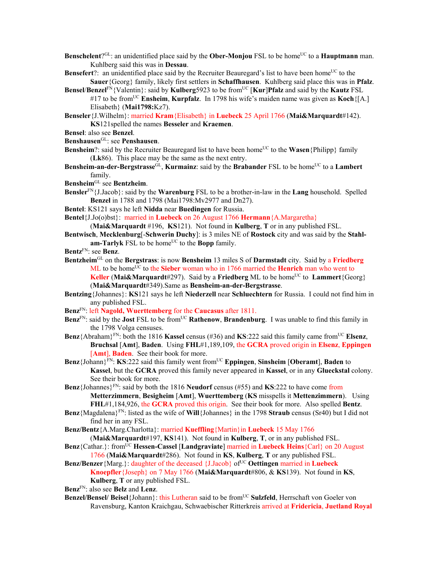- **Benschelent**?<sup>GL</sup>: an unidentified place said by the **Ober-Monjou** FSL to be home<sup>UC</sup> to a **Hauptmann** man. Kuhlberg said this was in **Dessau**.
- **Bensefert**?: an unidentified place said by the Recruiter Beauregard's list to have been home<sup>UC</sup> to the **Sauer**{Georg} family, likely first settlers in **Schaffhausen**. Kuhlberg said place this was in **Pfalz**.
- **Bensel/Benzel<sup>FN</sup>{Valentin}: said by <b>Kulberg**5923 to be from<sup>UC</sup> [**Kur**]**Pfalz** and said by the **Kautz** FSL #17 to be fromUC **Ensheim**, **Kurpfalz**. In 1798 his wife's maiden name was given as **Koch**{[A.] Elisabeth} (**Mai1798:**Kz7).

**Benseler**{J.Wilhelm}: married **Kram**{Elisabeth} in **Luebeck** 25 April 1766 (**Mai&Marquardt**#142).

**KS**121spelled the names **Besseler** and **Kraemen**.

- **Bensel**: also see **Benzel**.
- **Benshausen**GL: see **Penshausen**.
- **Bensheim**?: said by the Recruiter Beauregard list to have been home<sup>UC</sup> to the **Wasen**{Philipp} family (**Lk**86). This place may be the same as the next entry.
- **Bensheim-an-der-Bergstrasse**<sup>GL</sup>, **Kurmainz**: said by the **Brabander** FSL to be home<sup>UC</sup> to a **Lambert** family.

## **Bensheim**GL see **Bentzheim**.

- **Bensler**FN{J.Jacob}: said by the **Warenburg** FSL to be a brother-in-law in the **Lang** household. Spelled **Benzel** in 1788 and 1798 (Mai1798:Mv2977 and Dn27).
- **Bentel**: KS121 says he left **Nidda** near **Buedingen** for Russia.
- **Bentel**{J.Jo(o)bst}: married in **Luebeck** on 26 August 1766 **Hermann**{A.Margaretha}

(**Mai&Marquardt** #196, **KS**121). Not found in **Kulberg**, **T** or in any published FSL.

- **Bentwisch**, **Mecklenburg**[-**Schwerin Duchy**]: is 3 miles NE of **Rostock** city and was said by the **Stahl**am-Tarlyk FSL to be home<sup>UC</sup> to the **Bopp** family.
- **Bentz**FN: see **Benz**.
- **Bentzheim**GL on the **Bergstrass**: is now **Bensheim** 13 miles S of **Darmstadt** city. Said by a **Friedberg**  $ML$  to be home<sup>UC</sup> to the **Sieber** woman who in 1766 married the **Henrich** man who went to **Keller** (Mai&Marquardt#297). Said by a Friedberg ML to be home<sup>UC</sup> to **Lammert**{Georg} (**Mai&Marquardt**#349).Same as **Bensheim-an-der-Bergstrasse**.
- **Bentzing**{Johannes}: **KS**121 says he left **Niederzell** near **Schluechtern** for Russia. I could not find him in any published FSL.
- **Benz**FN: left **Nagold, Wuerttemberg** for the **Caucasus** after 1811.
- **Benz**<sup>FN</sup>: said by the **Jost** FSL to be from<sup>UC</sup> **Rathenow**, **Brandenburg**. I was unable to find this family in the 1798 Volga censuses.
- **Benz**{Abraham}<sup>FN</sup>: both the 1816 **Kassel** census (#36) and **KS**:222 said this family came from<sup>UC</sup> Elsenz, **Bruchsal** [**Amt**], **Baden**. Using **FHL**#1,189,109, the **GCRA** proved origin in **Elsenz**, **Eppingen** [**Amt**], **Baden**. See their book for more.
- **Benz**{Johann}<sup>FN</sup>: **KS**:222 said this family went from<sup>UC</sup> Eppingen, Sinsheim [Oberamt], Baden to **Kassel**, but the **GCRA** proved this family never appeared in **Kassel**, or in any **Glueckstal** colony. See their book for more.
- **Benz**{Johannes}<sup>FN</sup>: said by both the 1816 **Neudorf** census (#55) and **KS**:222 to have come from **Metterzimmern**, **Besigheim** [**Amt**], **Wuerttemberg** (**KS** misspells it **Mettenzimmern**). Using **FHL**#1,184,926, the **GCRA** proved this origin. See their book for more. Also spelled **Bentz**.
- **Benz**{Magdalena}FN: listed as the wife of **Will**{Johannes} in the 1798 **Straub** census (Sr40) but I did not find her in any FSL.
- **Benz/Bentz**{A.Marg.Charlotta}: married **Kueffling**{Martin}in **Luebeck** 15 May 1766 (**Mai&Marquardt**#197, **KS**141). Not found in **Kulberg**, **T**, or in any published FSL.
- **Benz**{Cathar.}: fromUC **Hessen-Cassel** [**Landgraviate**] married in **Luebeck Heins**{Carl} on 20 August 1766 (**Mai&Marquardt**#286). Not found in **KS**, **Kulberg**, **T** or any published FSL.
- **Benz/Benzer** {Marg.}: daughter of the deceased {J.Jacob} of<sup>UC</sup> Oettingen married in Luebeck **Knoepfler**{Joseph} on 7 May 1766 (**Mai&Marquardt**#806, & **KS**139). Not found in **KS**, **Kulberg**, **T** or any published FSL.
- **Benz**FN: also see **Belz** and **Lenz**.
- **Benzel/Bensel/ Beisel**{Johann}: this Lutheran said to be from<sup>UC</sup> Sulzfeld, Herrschaft von Goeler von Ravensburg, Kanton Kraichgau, Schwaebischer Ritterkreis arrived at **Fridericia**, **Juetland Royal**